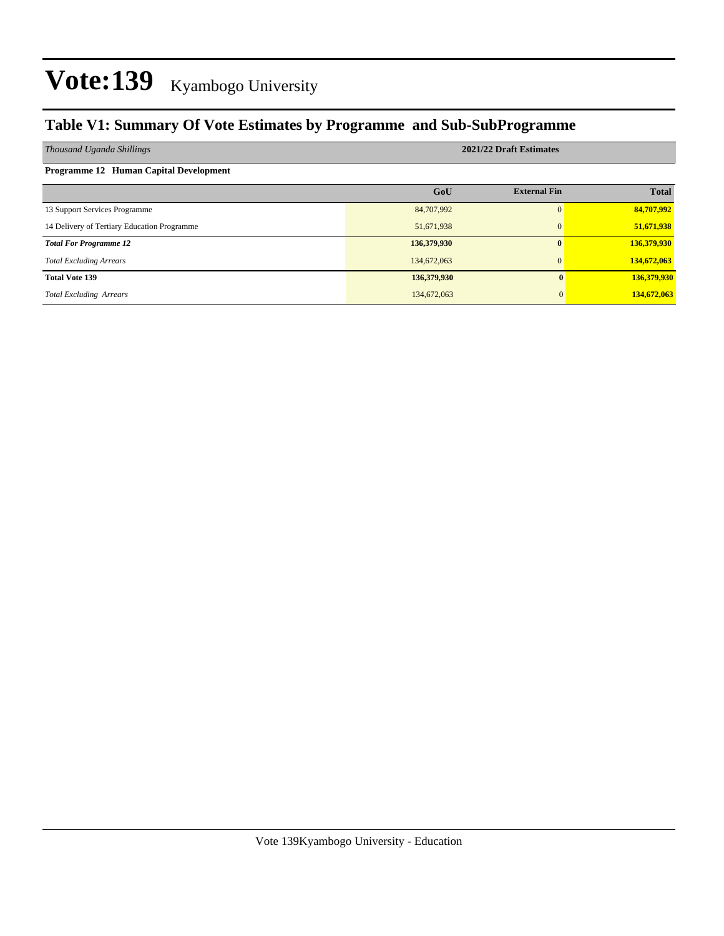### **Table V1: Summary Of Vote Estimates by Programme and Sub-SubProgramme**

| Thousand Uganda Shillings                   | 2021/22 Draft Estimates |                     |              |  |  |  |  |
|---------------------------------------------|-------------------------|---------------------|--------------|--|--|--|--|
| Programme 12 Human Capital Development      |                         |                     |              |  |  |  |  |
|                                             | GoU                     | <b>External Fin</b> | <b>Total</b> |  |  |  |  |
| 13 Support Services Programme               | 84,707,992              | 0                   | 84,707,992   |  |  |  |  |
| 14 Delivery of Tertiary Education Programme | 51,671,938              | $\Omega$            | 51,671,938   |  |  |  |  |
| <b>Total For Programme 12</b>               | 136,379,930             | $\mathbf{0}$        | 136,379,930  |  |  |  |  |
| <b>Total Excluding Arrears</b>              | 134,672,063             | $\Omega$            | 134,672,063  |  |  |  |  |
| <b>Total Vote 139</b>                       | 136,379,930             |                     | 136,379,930  |  |  |  |  |
| <b>Total Excluding Arrears</b>              | 134,672,063             |                     | 134,672,063  |  |  |  |  |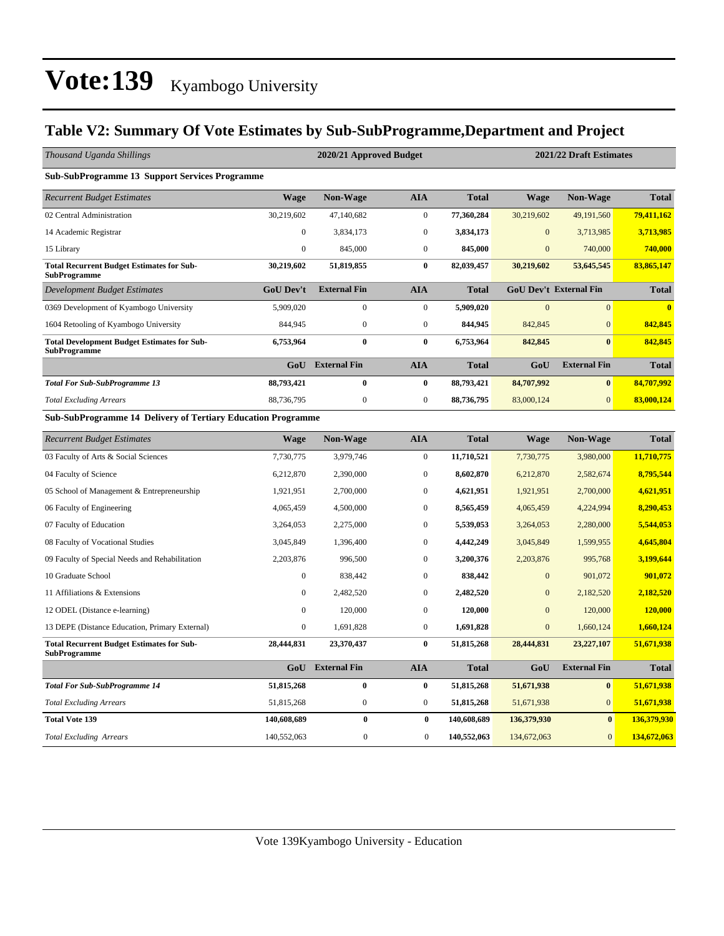### **Table V2: Summary Of Vote Estimates by Sub-SubProgramme,Department and Project**

| Thousand Uganda Shillings                                                 |                  | 2020/21 Approved Budget<br>2021/22 Draft Estimates |                  |              |                |                               |              |  |  |  |  |
|---------------------------------------------------------------------------|------------------|----------------------------------------------------|------------------|--------------|----------------|-------------------------------|--------------|--|--|--|--|
| <b>Sub-SubProgramme 13 Support Services Programme</b>                     |                  |                                                    |                  |              |                |                               |              |  |  |  |  |
| <b>Recurrent Budget Estimates</b>                                         | <b>Wage</b>      | <b>Non-Wage</b>                                    | <b>AIA</b>       | <b>Total</b> | Wage           | <b>Non-Wage</b>               | <b>Total</b> |  |  |  |  |
| 02 Central Administration                                                 | 30,219,602       | 47,140,682                                         | $\boldsymbol{0}$ | 77,360,284   | 30,219,602     | 49,191,560                    | 79,411,162   |  |  |  |  |
| 14 Academic Registrar                                                     | $\boldsymbol{0}$ | 3,834,173                                          | $\boldsymbol{0}$ | 3,834,173    | $\overline{0}$ | 3,713,985                     | 3,713,985    |  |  |  |  |
| 15 Library                                                                | $\mathbf{0}$     | 845,000                                            | $\boldsymbol{0}$ | 845,000      | $\mathbf{0}$   | 740,000                       | 740,000      |  |  |  |  |
| <b>Total Recurrent Budget Estimates for Sub-</b><br><b>SubProgramme</b>   | 30,219,602       | 51,819,855                                         | $\bf{0}$         | 82,039,457   | 30,219,602     | 53,645,545                    | 83,865,147   |  |  |  |  |
| <b>Development Budget Estimates</b>                                       | <b>GoU Dev't</b> | <b>External Fin</b>                                | <b>AIA</b>       | <b>Total</b> |                | <b>GoU Dev't External Fin</b> | <b>Total</b> |  |  |  |  |
| 0369 Development of Kyambogo University                                   | 5,909,020        | $\mathbf{0}$                                       | $\boldsymbol{0}$ | 5,909,020    | $\mathbf{0}$   | $\mathbf{0}$                  | $\bf{0}$     |  |  |  |  |
| 1604 Retooling of Kyambogo University                                     | 844,945          | $\boldsymbol{0}$                                   | $\boldsymbol{0}$ | 844,945      | 842,845        | $\overline{0}$                | 842,845      |  |  |  |  |
| <b>Total Development Budget Estimates for Sub-</b><br><b>SubProgramme</b> | 6,753,964        | $\bf{0}$                                           | $\bf{0}$         | 6,753,964    | 842,845        | $\bf{0}$                      | 842,845      |  |  |  |  |
|                                                                           | GoU              | <b>External Fin</b>                                | <b>AIA</b>       | <b>Total</b> | GoU            | <b>External Fin</b>           | <b>Total</b> |  |  |  |  |
| <b>Total For Sub-SubProgramme 13</b>                                      | 88,793,421       | $\bf{0}$                                           | $\bf{0}$         | 88,793,421   | 84,707,992     | $\mathbf{0}$                  | 84,707,992   |  |  |  |  |
| <b>Total Excluding Arrears</b>                                            | 88,736,795       | $\boldsymbol{0}$                                   | $\mathbf{0}$     | 88,736,795   | 83,000,124     | $\overline{0}$                | 83,000,124   |  |  |  |  |
| <b>Sub-SubProgramme 14 Delivery of Tertiary Education Programme</b>       |                  |                                                    |                  |              |                |                               |              |  |  |  |  |
| <b>Recurrent Budget Estimates</b>                                         | <b>Wage</b>      | <b>Non-Wage</b>                                    | <b>AIA</b>       | <b>Total</b> | <b>Wage</b>    | <b>Non-Wage</b>               | <b>Total</b> |  |  |  |  |
| 03 Faculty of Arts & Social Sciences                                      | 7,730,775        | 3,979,746                                          | $\boldsymbol{0}$ | 11,710,521   | 7,730,775      | 3,980,000                     | 11,710,775   |  |  |  |  |
| 04 Faculty of Science                                                     | 6,212,870        | 2,390,000                                          | $\mathbf{0}$     | 8,602,870    | 6,212,870      | 2,582,674                     | 8,795,544    |  |  |  |  |
| 05 School of Management & Entrepreneurship                                | 1,921,951        | 2,700,000                                          | $\boldsymbol{0}$ | 4,621,951    | 1,921,951      | 2,700,000                     | 4,621,951    |  |  |  |  |
| 06 Faculty of Engineering                                                 | 4,065,459        | 4,500,000                                          | $\mathbf{0}$     | 8,565,459    | 4,065,459      | 4,224,994                     | 8,290,453    |  |  |  |  |
| 07 Faculty of Education                                                   | 3,264,053        | 2,275,000                                          | $\boldsymbol{0}$ | 5,539,053    | 3,264,053      | 2,280,000                     | 5,544,053    |  |  |  |  |
| 08 Faculty of Vocational Studies                                          | 3,045,849        | 1,396,400                                          | $\mathbf{0}$     | 4,442,249    | 3,045,849      | 1,599,955                     | 4,645,804    |  |  |  |  |
| 09 Faculty of Special Needs and Rehabilitation                            | 2,203,876        | 996,500                                            | $\boldsymbol{0}$ | 3,200,376    | 2,203,876      | 995,768                       | 3,199,644    |  |  |  |  |
| 10 Graduate School                                                        | $\mathbf{0}$     | 838,442                                            | $\mathbf{0}$     | 838,442      | $\mathbf{0}$   | 901,072                       | 901,072      |  |  |  |  |
| 11 Affiliations & Extensions                                              | $\mathbf{0}$     | 2,482,520                                          | $\mathbf{0}$     | 2,482,520    | $\overline{0}$ | 2,182,520                     | 2,182,520    |  |  |  |  |
| 12 ODEL (Distance e-learning)                                             | $\mathbf{0}$     | 120,000                                            | $\mathbf{0}$     | 120,000      | $\mathbf{0}$   | 120,000                       | 120,000      |  |  |  |  |
| 13 DEPE (Distance Education, Primary External)                            | $\mathbf{0}$     | 1,691,828                                          | $\boldsymbol{0}$ | 1,691,828    | $\overline{0}$ | 1,660,124                     | 1,660,124    |  |  |  |  |
| <b>Total Recurrent Budget Estimates for Sub-</b><br><b>SubProgramme</b>   | 28,444,831       | 23,370,437                                         | $\bf{0}$         | 51,815,268   | 28,444,831     | 23,227,107                    | 51,671,938   |  |  |  |  |
|                                                                           |                  | <b>GoU</b> External Fin                            | <b>AIA</b>       | <b>Total</b> | GoU            | <b>External Fin</b>           | <b>Total</b> |  |  |  |  |
| <b>Total For Sub-SubProgramme 14</b>                                      | 51,815,268       | $\bf{0}$                                           | $\bf{0}$         | 51,815,268   | 51,671,938     | $\bf{0}$                      | 51,671,938   |  |  |  |  |
| <b>Total Excluding Arrears</b>                                            | 51,815,268       | $\boldsymbol{0}$                                   | $\mathbf{0}$     | 51,815,268   | 51,671,938     | $\mathbf{0}$                  | 51,671,938   |  |  |  |  |
| <b>Total Vote 139</b>                                                     | 140,608,689      | $\bf{0}$                                           | $\bf{0}$         | 140,608,689  | 136,379,930    | $\bf{0}$                      | 136,379,930  |  |  |  |  |
| <b>Total Excluding Arrears</b>                                            | 140,552,063      | $\mathbf{0}$                                       | $\overline{0}$   | 140,552,063  | 134,672,063    | $\overline{0}$                | 134,672,063  |  |  |  |  |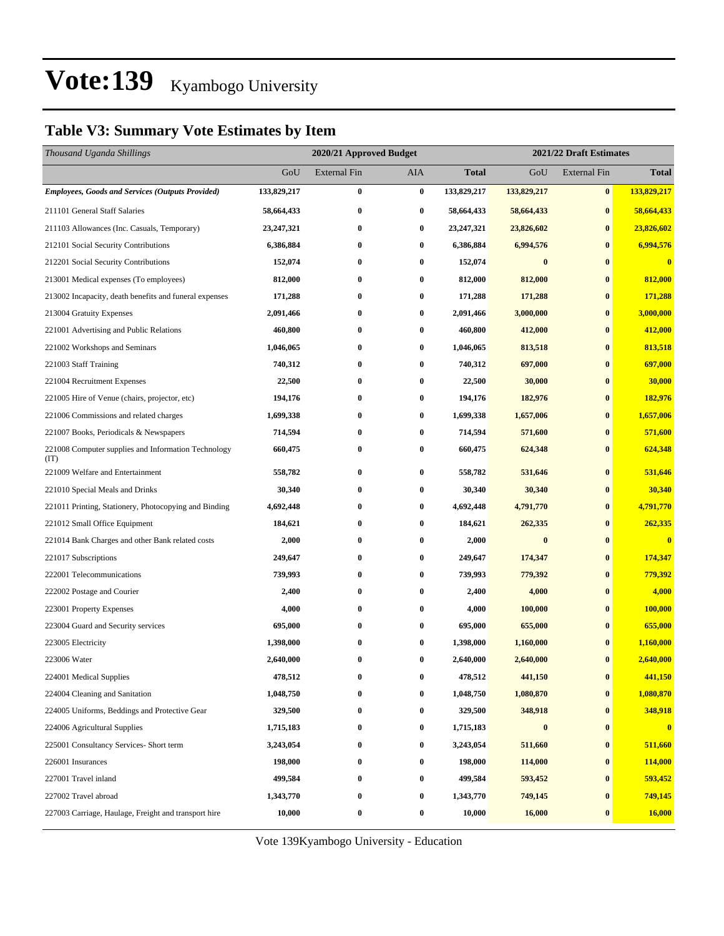### **Table V3: Summary Vote Estimates by Item**

| Thousand Uganda Shillings                                   |              | 2020/21 Approved Budget |                  |              | 2021/22 Draft Estimates |                     |              |  |
|-------------------------------------------------------------|--------------|-------------------------|------------------|--------------|-------------------------|---------------------|--------------|--|
|                                                             | GoU          | <b>External Fin</b>     | AIA              | <b>Total</b> | GoU                     | <b>External Fin</b> | <b>Total</b> |  |
| <b>Employees, Goods and Services (Outputs Provided)</b>     | 133,829,217  | $\bf{0}$                | $\bf{0}$         | 133,829,217  | 133,829,217             | $\bf{0}$            | 133,829,217  |  |
| 211101 General Staff Salaries                               | 58,664,433   | $\bf{0}$                | 0                | 58,664,433   | 58,664,433              | $\bf{0}$            | 58,664,433   |  |
| 211103 Allowances (Inc. Casuals, Temporary)                 | 23, 247, 321 | $\bf{0}$                | $\boldsymbol{0}$ | 23, 247, 321 | 23,826,602              | $\bf{0}$            | 23,826,602   |  |
| 212101 Social Security Contributions                        | 6,386,884    | $\bf{0}$                | 0                | 6,386,884    | 6,994,576               | $\bf{0}$            | 6,994,576    |  |
| 212201 Social Security Contributions                        | 152,074      | $\bf{0}$                | 0                | 152,074      | $\bf{0}$                | $\bf{0}$            | $\bf{0}$     |  |
| 213001 Medical expenses (To employees)                      | 812,000      | $\bf{0}$                | 0                | 812,000      | 812,000                 | $\bf{0}$            | 812,000      |  |
| 213002 Incapacity, death benefits and funeral expenses      | 171,288      | $\bf{0}$                | 0                | 171,288      | 171,288                 | $\bf{0}$            | 171,288      |  |
| 213004 Gratuity Expenses                                    | 2,091,466    | $\bf{0}$                | $\bf{0}$         | 2,091,466    | 3,000,000               | $\bf{0}$            | 3,000,000    |  |
| 221001 Advertising and Public Relations                     | 460,800      | $\bf{0}$                | 0                | 460,800      | 412,000                 | $\bf{0}$            | 412,000      |  |
| 221002 Workshops and Seminars                               | 1,046,065    | $\bf{0}$                | 0                | 1,046,065    | 813,518                 | $\bf{0}$            | 813,518      |  |
| 221003 Staff Training                                       | 740,312      | $\bf{0}$                | 0                | 740,312      | 697,000                 | $\bf{0}$            | 697,000      |  |
| 221004 Recruitment Expenses                                 | 22,500       | $\bf{0}$                | 0                | 22,500       | 30,000                  | $\bf{0}$            | 30,000       |  |
| 221005 Hire of Venue (chairs, projector, etc)               | 194,176      | $\bf{0}$                | 0                | 194,176      | 182,976                 | $\bf{0}$            | 182,976      |  |
| 221006 Commissions and related charges                      | 1,699,338    | $\bf{0}$                | 0                | 1,699,338    | 1,657,006               | $\bf{0}$            | 1,657,006    |  |
| 221007 Books, Periodicals & Newspapers                      | 714,594      | $\bf{0}$                | $\bf{0}$         | 714,594      | 571,600                 | $\bf{0}$            | 571,600      |  |
| 221008 Computer supplies and Information Technology<br>(TT) | 660,475      | $\bf{0}$                | 0                | 660,475      | 624,348                 | $\bf{0}$            | 624,348      |  |
| 221009 Welfare and Entertainment                            | 558,782      | $\bf{0}$                | $\bf{0}$         | 558,782      | 531,646                 | $\bf{0}$            | 531,646      |  |
| 221010 Special Meals and Drinks                             | 30,340       | $\bf{0}$                | $\bf{0}$         | 30,340       | 30,340                  | $\bf{0}$            | 30,340       |  |
| 221011 Printing, Stationery, Photocopying and Binding       | 4,692,448    | $\bf{0}$                | 0                | 4,692,448    | 4,791,770               | $\bf{0}$            | 4,791,770    |  |
| 221012 Small Office Equipment                               | 184,621      | $\bf{0}$                | 0                | 184,621      | 262,335                 | $\bf{0}$            | 262,335      |  |
| 221014 Bank Charges and other Bank related costs            | 2,000        | $\bf{0}$                | 0                | 2,000        | $\bf{0}$                | $\bf{0}$            | $\bf{0}$     |  |
| 221017 Subscriptions                                        | 249,647      | $\bf{0}$                | 0                | 249,647      | 174,347                 | $\bf{0}$            | 174,347      |  |
| 222001 Telecommunications                                   | 739,993      | $\bf{0}$                | 0                | 739,993      | 779,392                 | $\bf{0}$            | 779,392      |  |
| 222002 Postage and Courier                                  | 2,400        | $\bf{0}$                | 0                | 2,400        | 4,000                   | $\bf{0}$            | 4,000        |  |
| 223001 Property Expenses                                    | 4,000        | $\bf{0}$                | 0                | 4,000        | 100,000                 | $\bf{0}$            | 100,000      |  |
| 223004 Guard and Security services                          | 695,000      | $\bf{0}$                | 0                | 695,000      | 655,000                 | $\bf{0}$            | 655,000      |  |
| 223005 Electricity                                          | 1,398,000    | $\bf{0}$                | 0                | 1,398,000    | 1,160,000               | $\bf{0}$            | 1,160,000    |  |
| 223006 Water                                                | 2,640,000    | $\bf{0}$                | 0                | 2,640,000    | 2,640,000               | $\bf{0}$            | 2,640,000    |  |
| 224001 Medical Supplies                                     | 478,512      | $\bf{0}$                | 0                | 478,512      | 441,150                 | $\bf{0}$            | 441,150      |  |
| 224004 Cleaning and Sanitation                              | 1,048,750    | 0                       | 0                | 1,048,750    | 1,080,870               | $\bf{0}$            | 1,080,870    |  |
| 224005 Uniforms, Beddings and Protective Gear               | 329,500      | $\bf{0}$                | $\boldsymbol{0}$ | 329,500      | 348,918                 | $\bf{0}$            | 348,918      |  |
| 224006 Agricultural Supplies                                | 1,715,183    | $\bf{0}$                | 0                | 1,715,183    | $\bf{0}$                | $\bf{0}$            | $\bf{0}$     |  |
| 225001 Consultancy Services- Short term                     | 3,243,054    | $\bf{0}$                | $\boldsymbol{0}$ | 3,243,054    | 511,660                 | $\boldsymbol{0}$    | 511,660      |  |
| 226001 Insurances                                           | 198,000      | $\bf{0}$                | $\bf{0}$         | 198,000      | 114,000                 | $\bf{0}$            | 114,000      |  |
| 227001 Travel inland                                        | 499,584      | $\bf{0}$                | 0                | 499,584      | 593,452                 | $\bf{0}$            | 593,452      |  |
| 227002 Travel abroad                                        | 1,343,770    | $\bf{0}$                | 0                | 1,343,770    | 749,145                 | $\bf{0}$            | 749,145      |  |
| 227003 Carriage, Haulage, Freight and transport hire        | 10,000       | $\bf{0}$                | 0                | 10,000       | 16,000                  | $\bf{0}$            | 16,000       |  |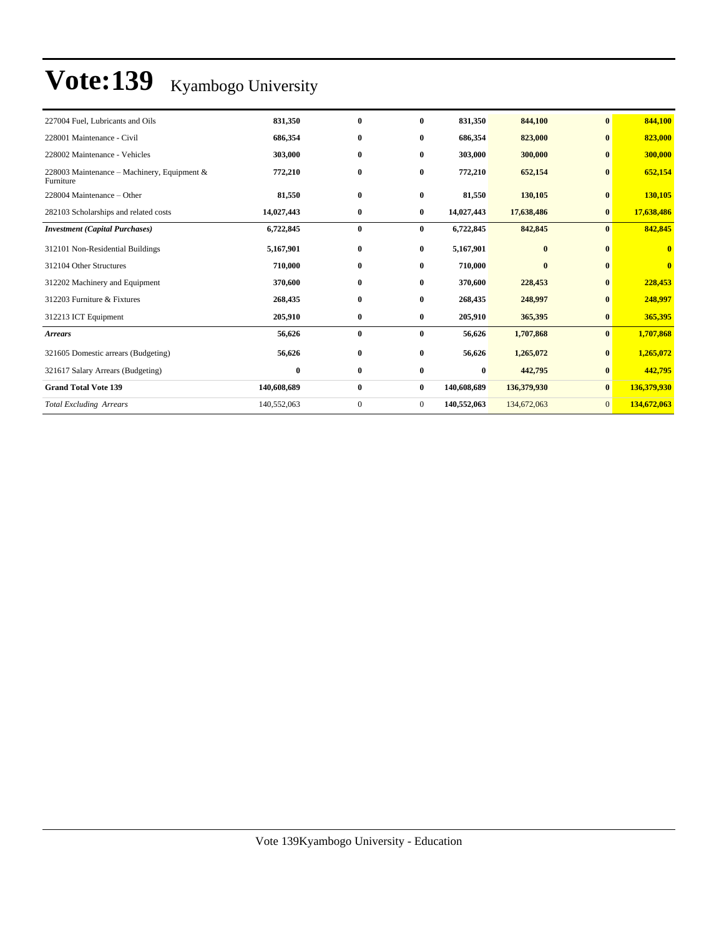| $\bf{0}$<br>$\bf{0}$<br>$\bf{0}$ | 844,100<br>823,000<br>300,000 |
|----------------------------------|-------------------------------|
|                                  |                               |
|                                  |                               |
|                                  |                               |
|                                  | 652,154                       |
| $\mathbf{0}$                     | 130,105                       |
| $\bf{0}$                         | 17,638,486                    |
| $\bf{0}$                         | 842,845                       |
| $\mathbf{0}$                     | $\bf{0}$                      |
| $\bf{0}$                         | $\bf{0}$                      |
| $\bf{0}$                         | 228,453                       |
| $\bf{0}$                         | 248,997                       |
| $\bf{0}$                         | 365,395                       |
| $\bf{0}$                         | 1,707,868                     |
| $\bf{0}$                         | 1,265,072                     |
| $\bf{0}$                         | 442,795                       |
| $\bf{0}$                         | 136,379,930                   |
| $\overline{0}$                   | 134,672,063                   |
|                                  | $\bf{0}$                      |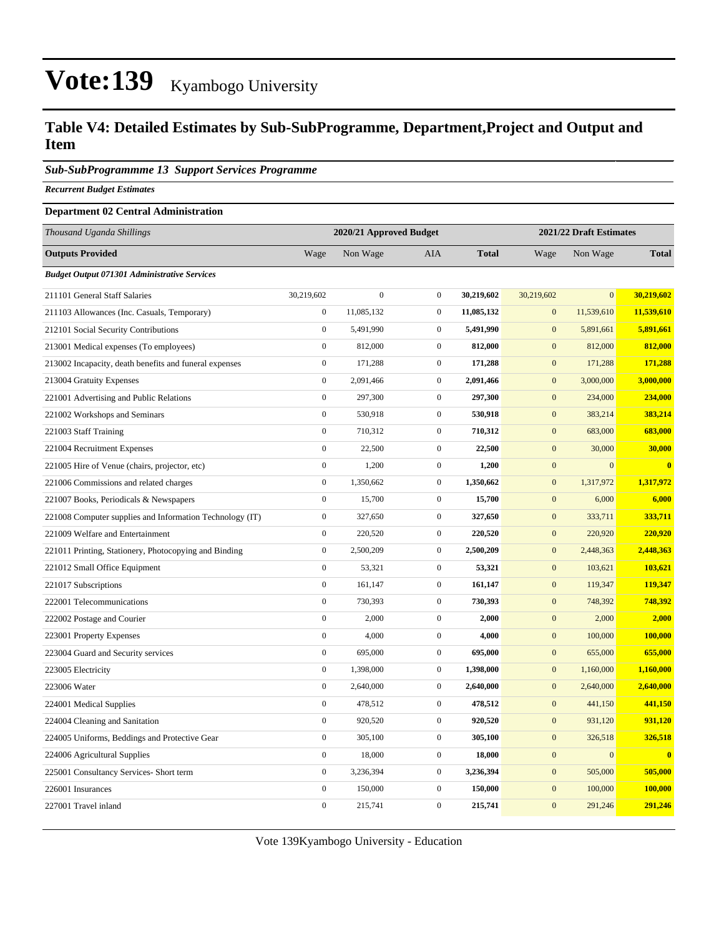### **Table V4: Detailed Estimates by Sub-SubProgramme, Department,Project and Output and Item**

### *Sub-SubProgrammme 13 Support Services Programme*

*Recurrent Budget Estimates*

#### **Department 02 Central Administration**

| <b>Outputs Provided</b><br>Wage<br>Non Wage<br>AIA<br><b>Total</b><br>Non Wage<br><b>Total</b><br>Wage<br><b>Budget Output 071301 Administrative Services</b><br>$\overline{0}$<br>$\overline{0}$<br>211101 General Staff Salaries<br>30,219,602<br>$\boldsymbol{0}$<br>30,219,602<br>30,219,602<br>30,219,602<br>11,085,132<br>11,539,610<br>$\boldsymbol{0}$<br>$\mathbf{0}$<br>11,085,132<br>$\mathbf{0}$<br>11,539,610<br>211103 Allowances (Inc. Casuals, Temporary)<br>$\boldsymbol{0}$<br>5,491,990<br>$\mathbf{0}$<br>5,891,661<br>$\mathbf{0}$<br>5,491,990<br>5,891,661<br>212101 Social Security Contributions<br>$\boldsymbol{0}$<br>812,000<br>$\boldsymbol{0}$<br>812,000<br>213001 Medical expenses (To employees)<br>812,000<br>$\boldsymbol{0}$<br>812,000<br>$\boldsymbol{0}$<br>171,288<br>$\mathbf{0}$<br>171,288<br>$\mathbf{0}$<br>171,288<br>213002 Incapacity, death benefits and funeral expenses<br>171,288<br>$\boldsymbol{0}$<br>2,091,466<br>$\boldsymbol{0}$<br>2,091,466<br>$\boldsymbol{0}$<br>3,000,000<br>3,000,000<br>213004 Gratuity Expenses<br>$\overline{0}$<br>$\boldsymbol{0}$<br>$\mathbf{0}$<br>297,300<br>297,300<br>234,000<br>234,000<br>221001 Advertising and Public Relations<br>$\boldsymbol{0}$<br>$\boldsymbol{0}$<br>530,918<br>$\boldsymbol{0}$<br>383,214<br>383,214<br>530,918<br>221002 Workshops and Seminars<br>$\boldsymbol{0}$<br>$\mathbf{0}$<br>710,312<br>$\mathbf{0}$<br>710,312<br>683,000<br>683,000<br>221003 Staff Training<br>221004 Recruitment Expenses<br>$\boldsymbol{0}$<br>22,500<br>$\boldsymbol{0}$<br>22,500<br>$\mathbf{0}$<br>30,000<br>30,000<br>$\mathbf{0}$<br>1,200<br>$\mathbf{0}$<br>$\mathbf{0}$<br>$\overline{0}$<br>221005 Hire of Venue (chairs, projector, etc)<br>1,200<br>$\overline{\mathbf{0}}$<br>$\boldsymbol{0}$<br>1,350,662<br>$\boldsymbol{0}$<br>1,350,662<br>$\boldsymbol{0}$<br>1,317,972<br>1,317,972<br>221006 Commissions and related charges<br>$\boldsymbol{0}$<br>$\boldsymbol{0}$<br>$\mathbf{0}$<br>6,000<br>15,700<br>15,700<br>6,000<br>221007 Books, Periodicals & Newspapers<br>$\mathbf{0}$<br>$\mathbf{0}$<br>327,650<br>327,650<br>$\mathbf{0}$<br>333,711<br>333,711<br>221008 Computer supplies and Information Technology (IT)<br>$\overline{0}$<br>$\mathbf{0}$<br>$\mathbf{0}$<br>221009 Welfare and Entertainment<br>220,520<br>220,520<br>220,920<br>220,920<br>$\boldsymbol{0}$<br>2,500,209<br>$\mathbf{0}$<br>2,500,209<br>$\mathbf{0}$<br>2,448,363<br>2,448,363<br>221011 Printing, Stationery, Photocopying and Binding<br>$\boldsymbol{0}$<br>53,321<br>$\boldsymbol{0}$<br>$\mathbf{0}$<br>103,621<br>221012 Small Office Equipment<br>53,321<br>103,621<br>$\boldsymbol{0}$<br>161,147<br>$\mathbf{0}$<br>161,147<br>$\mathbf{0}$<br>119,347<br>119,347<br>221017 Subscriptions<br>$\mathbf{0}$<br>$\boldsymbol{0}$<br>748,392<br>222001 Telecommunications<br>730,393<br>730,393<br>$\mathbf{0}$<br>748,392<br>$\overline{0}$<br>$\boldsymbol{0}$<br>$\boldsymbol{0}$<br>222002 Postage and Courier<br>2,000<br>2,000<br>2,000<br>2,000<br>$\boldsymbol{0}$<br>4,000<br>$\boldsymbol{0}$<br>4,000<br>$\boldsymbol{0}$<br>100,000<br>100,000<br>223001 Property Expenses<br>$\boldsymbol{0}$<br>$\mathbf 0$<br>695,000<br>695,000<br>$\mathbf{0}$<br>655,000<br>655,000<br>223004 Guard and Security services<br>1,398,000<br>1,398,000<br>1,160,000<br>$\boldsymbol{0}$<br>$\mathbf{0}$<br>$\mathbf{0}$<br>1,160,000<br>223005 Electricity<br>$\overline{0}$<br>2,640,000<br>$\boldsymbol{0}$<br>$\overline{0}$<br>2,640,000<br>223006 Water<br>2,640,000<br>2,640,000<br>$\boldsymbol{0}$<br>478,512<br>$\boldsymbol{0}$<br>478,512<br>$\boldsymbol{0}$<br>441,150<br>224001 Medical Supplies<br>441,150<br>$\boldsymbol{0}$<br>$\mathbf 0$<br>920,520<br>920,520<br>$\mathbf{0}$<br>931,120<br>931,120<br>224004 Cleaning and Sanitation<br>$\boldsymbol{0}$<br>$\mathbf 0$<br>224005 Uniforms, Beddings and Protective Gear<br>305,100<br>305,100<br>$\mathbf{0}$<br>326,518<br>326,518<br>$\overline{0}$<br>$\mathbf{0}$<br>$\mathbf{0}$<br>18,000<br>18,000<br>$\overline{0}$<br>$\bf{0}$<br>224006 Agricultural Supplies<br>$\boldsymbol{0}$<br>3,236,394<br>$\boldsymbol{0}$<br>3,236,394<br>$\boldsymbol{0}$<br>505,000<br>225001 Consultancy Services- Short term<br>505,000<br>$\boldsymbol{0}$<br>150,000<br>$\boldsymbol{0}$<br>150,000<br>$\mathbf{0}$<br>100,000<br>100,000<br>226001 Insurances<br>$\overline{0}$<br>$\overline{0}$<br>215,741<br>$\mathbf{0}$<br>291,246<br>215,741<br>291,246<br>227001 Travel inland | Thousand Uganda Shillings | 2020/21 Approved Budget |  | 2021/22 Draft Estimates |  |  |
|---------------------------------------------------------------------------------------------------------------------------------------------------------------------------------------------------------------------------------------------------------------------------------------------------------------------------------------------------------------------------------------------------------------------------------------------------------------------------------------------------------------------------------------------------------------------------------------------------------------------------------------------------------------------------------------------------------------------------------------------------------------------------------------------------------------------------------------------------------------------------------------------------------------------------------------------------------------------------------------------------------------------------------------------------------------------------------------------------------------------------------------------------------------------------------------------------------------------------------------------------------------------------------------------------------------------------------------------------------------------------------------------------------------------------------------------------------------------------------------------------------------------------------------------------------------------------------------------------------------------------------------------------------------------------------------------------------------------------------------------------------------------------------------------------------------------------------------------------------------------------------------------------------------------------------------------------------------------------------------------------------------------------------------------------------------------------------------------------------------------------------------------------------------------------------------------------------------------------------------------------------------------------------------------------------------------------------------------------------------------------------------------------------------------------------------------------------------------------------------------------------------------------------------------------------------------------------------------------------------------------------------------------------------------------------------------------------------------------------------------------------------------------------------------------------------------------------------------------------------------------------------------------------------------------------------------------------------------------------------------------------------------------------------------------------------------------------------------------------------------------------------------------------------------------------------------------------------------------------------------------------------------------------------------------------------------------------------------------------------------------------------------------------------------------------------------------------------------------------------------------------------------------------------------------------------------------------------------------------------------------------------------------------------------------------------------------------------------------------------------------------------------------------------------------------------------------------------------------------------------------------------------------------------------------------------------------------------------------------------------------------------------------------------------------------------------------------------------------------------------------------------------------------------------------------------------------------------------------------------------------------------------------------------------------------------------------------------------------------------------------------------------------------------------------------------------------------------------------------------------------------------------------------------------------------------------------------|---------------------------|-------------------------|--|-------------------------|--|--|
|                                                                                                                                                                                                                                                                                                                                                                                                                                                                                                                                                                                                                                                                                                                                                                                                                                                                                                                                                                                                                                                                                                                                                                                                                                                                                                                                                                                                                                                                                                                                                                                                                                                                                                                                                                                                                                                                                                                                                                                                                                                                                                                                                                                                                                                                                                                                                                                                                                                                                                                                                                                                                                                                                                                                                                                                                                                                                                                                                                                                                                                                                                                                                                                                                                                                                                                                                                                                                                                                                                                                                                                                                                                                                                                                                                                                                                                                                                                                                                                                                                                                                                                                                                                                                                                                                                                                                                                                                                                                                                                                                                                 |                           |                         |  |                         |  |  |
|                                                                                                                                                                                                                                                                                                                                                                                                                                                                                                                                                                                                                                                                                                                                                                                                                                                                                                                                                                                                                                                                                                                                                                                                                                                                                                                                                                                                                                                                                                                                                                                                                                                                                                                                                                                                                                                                                                                                                                                                                                                                                                                                                                                                                                                                                                                                                                                                                                                                                                                                                                                                                                                                                                                                                                                                                                                                                                                                                                                                                                                                                                                                                                                                                                                                                                                                                                                                                                                                                                                                                                                                                                                                                                                                                                                                                                                                                                                                                                                                                                                                                                                                                                                                                                                                                                                                                                                                                                                                                                                                                                                 |                           |                         |  |                         |  |  |
|                                                                                                                                                                                                                                                                                                                                                                                                                                                                                                                                                                                                                                                                                                                                                                                                                                                                                                                                                                                                                                                                                                                                                                                                                                                                                                                                                                                                                                                                                                                                                                                                                                                                                                                                                                                                                                                                                                                                                                                                                                                                                                                                                                                                                                                                                                                                                                                                                                                                                                                                                                                                                                                                                                                                                                                                                                                                                                                                                                                                                                                                                                                                                                                                                                                                                                                                                                                                                                                                                                                                                                                                                                                                                                                                                                                                                                                                                                                                                                                                                                                                                                                                                                                                                                                                                                                                                                                                                                                                                                                                                                                 |                           |                         |  |                         |  |  |
|                                                                                                                                                                                                                                                                                                                                                                                                                                                                                                                                                                                                                                                                                                                                                                                                                                                                                                                                                                                                                                                                                                                                                                                                                                                                                                                                                                                                                                                                                                                                                                                                                                                                                                                                                                                                                                                                                                                                                                                                                                                                                                                                                                                                                                                                                                                                                                                                                                                                                                                                                                                                                                                                                                                                                                                                                                                                                                                                                                                                                                                                                                                                                                                                                                                                                                                                                                                                                                                                                                                                                                                                                                                                                                                                                                                                                                                                                                                                                                                                                                                                                                                                                                                                                                                                                                                                                                                                                                                                                                                                                                                 |                           |                         |  |                         |  |  |
|                                                                                                                                                                                                                                                                                                                                                                                                                                                                                                                                                                                                                                                                                                                                                                                                                                                                                                                                                                                                                                                                                                                                                                                                                                                                                                                                                                                                                                                                                                                                                                                                                                                                                                                                                                                                                                                                                                                                                                                                                                                                                                                                                                                                                                                                                                                                                                                                                                                                                                                                                                                                                                                                                                                                                                                                                                                                                                                                                                                                                                                                                                                                                                                                                                                                                                                                                                                                                                                                                                                                                                                                                                                                                                                                                                                                                                                                                                                                                                                                                                                                                                                                                                                                                                                                                                                                                                                                                                                                                                                                                                                 |                           |                         |  |                         |  |  |
|                                                                                                                                                                                                                                                                                                                                                                                                                                                                                                                                                                                                                                                                                                                                                                                                                                                                                                                                                                                                                                                                                                                                                                                                                                                                                                                                                                                                                                                                                                                                                                                                                                                                                                                                                                                                                                                                                                                                                                                                                                                                                                                                                                                                                                                                                                                                                                                                                                                                                                                                                                                                                                                                                                                                                                                                                                                                                                                                                                                                                                                                                                                                                                                                                                                                                                                                                                                                                                                                                                                                                                                                                                                                                                                                                                                                                                                                                                                                                                                                                                                                                                                                                                                                                                                                                                                                                                                                                                                                                                                                                                                 |                           |                         |  |                         |  |  |
|                                                                                                                                                                                                                                                                                                                                                                                                                                                                                                                                                                                                                                                                                                                                                                                                                                                                                                                                                                                                                                                                                                                                                                                                                                                                                                                                                                                                                                                                                                                                                                                                                                                                                                                                                                                                                                                                                                                                                                                                                                                                                                                                                                                                                                                                                                                                                                                                                                                                                                                                                                                                                                                                                                                                                                                                                                                                                                                                                                                                                                                                                                                                                                                                                                                                                                                                                                                                                                                                                                                                                                                                                                                                                                                                                                                                                                                                                                                                                                                                                                                                                                                                                                                                                                                                                                                                                                                                                                                                                                                                                                                 |                           |                         |  |                         |  |  |
|                                                                                                                                                                                                                                                                                                                                                                                                                                                                                                                                                                                                                                                                                                                                                                                                                                                                                                                                                                                                                                                                                                                                                                                                                                                                                                                                                                                                                                                                                                                                                                                                                                                                                                                                                                                                                                                                                                                                                                                                                                                                                                                                                                                                                                                                                                                                                                                                                                                                                                                                                                                                                                                                                                                                                                                                                                                                                                                                                                                                                                                                                                                                                                                                                                                                                                                                                                                                                                                                                                                                                                                                                                                                                                                                                                                                                                                                                                                                                                                                                                                                                                                                                                                                                                                                                                                                                                                                                                                                                                                                                                                 |                           |                         |  |                         |  |  |
|                                                                                                                                                                                                                                                                                                                                                                                                                                                                                                                                                                                                                                                                                                                                                                                                                                                                                                                                                                                                                                                                                                                                                                                                                                                                                                                                                                                                                                                                                                                                                                                                                                                                                                                                                                                                                                                                                                                                                                                                                                                                                                                                                                                                                                                                                                                                                                                                                                                                                                                                                                                                                                                                                                                                                                                                                                                                                                                                                                                                                                                                                                                                                                                                                                                                                                                                                                                                                                                                                                                                                                                                                                                                                                                                                                                                                                                                                                                                                                                                                                                                                                                                                                                                                                                                                                                                                                                                                                                                                                                                                                                 |                           |                         |  |                         |  |  |
|                                                                                                                                                                                                                                                                                                                                                                                                                                                                                                                                                                                                                                                                                                                                                                                                                                                                                                                                                                                                                                                                                                                                                                                                                                                                                                                                                                                                                                                                                                                                                                                                                                                                                                                                                                                                                                                                                                                                                                                                                                                                                                                                                                                                                                                                                                                                                                                                                                                                                                                                                                                                                                                                                                                                                                                                                                                                                                                                                                                                                                                                                                                                                                                                                                                                                                                                                                                                                                                                                                                                                                                                                                                                                                                                                                                                                                                                                                                                                                                                                                                                                                                                                                                                                                                                                                                                                                                                                                                                                                                                                                                 |                           |                         |  |                         |  |  |
|                                                                                                                                                                                                                                                                                                                                                                                                                                                                                                                                                                                                                                                                                                                                                                                                                                                                                                                                                                                                                                                                                                                                                                                                                                                                                                                                                                                                                                                                                                                                                                                                                                                                                                                                                                                                                                                                                                                                                                                                                                                                                                                                                                                                                                                                                                                                                                                                                                                                                                                                                                                                                                                                                                                                                                                                                                                                                                                                                                                                                                                                                                                                                                                                                                                                                                                                                                                                                                                                                                                                                                                                                                                                                                                                                                                                                                                                                                                                                                                                                                                                                                                                                                                                                                                                                                                                                                                                                                                                                                                                                                                 |                           |                         |  |                         |  |  |
|                                                                                                                                                                                                                                                                                                                                                                                                                                                                                                                                                                                                                                                                                                                                                                                                                                                                                                                                                                                                                                                                                                                                                                                                                                                                                                                                                                                                                                                                                                                                                                                                                                                                                                                                                                                                                                                                                                                                                                                                                                                                                                                                                                                                                                                                                                                                                                                                                                                                                                                                                                                                                                                                                                                                                                                                                                                                                                                                                                                                                                                                                                                                                                                                                                                                                                                                                                                                                                                                                                                                                                                                                                                                                                                                                                                                                                                                                                                                                                                                                                                                                                                                                                                                                                                                                                                                                                                                                                                                                                                                                                                 |                           |                         |  |                         |  |  |
|                                                                                                                                                                                                                                                                                                                                                                                                                                                                                                                                                                                                                                                                                                                                                                                                                                                                                                                                                                                                                                                                                                                                                                                                                                                                                                                                                                                                                                                                                                                                                                                                                                                                                                                                                                                                                                                                                                                                                                                                                                                                                                                                                                                                                                                                                                                                                                                                                                                                                                                                                                                                                                                                                                                                                                                                                                                                                                                                                                                                                                                                                                                                                                                                                                                                                                                                                                                                                                                                                                                                                                                                                                                                                                                                                                                                                                                                                                                                                                                                                                                                                                                                                                                                                                                                                                                                                                                                                                                                                                                                                                                 |                           |                         |  |                         |  |  |
|                                                                                                                                                                                                                                                                                                                                                                                                                                                                                                                                                                                                                                                                                                                                                                                                                                                                                                                                                                                                                                                                                                                                                                                                                                                                                                                                                                                                                                                                                                                                                                                                                                                                                                                                                                                                                                                                                                                                                                                                                                                                                                                                                                                                                                                                                                                                                                                                                                                                                                                                                                                                                                                                                                                                                                                                                                                                                                                                                                                                                                                                                                                                                                                                                                                                                                                                                                                                                                                                                                                                                                                                                                                                                                                                                                                                                                                                                                                                                                                                                                                                                                                                                                                                                                                                                                                                                                                                                                                                                                                                                                                 |                           |                         |  |                         |  |  |
|                                                                                                                                                                                                                                                                                                                                                                                                                                                                                                                                                                                                                                                                                                                                                                                                                                                                                                                                                                                                                                                                                                                                                                                                                                                                                                                                                                                                                                                                                                                                                                                                                                                                                                                                                                                                                                                                                                                                                                                                                                                                                                                                                                                                                                                                                                                                                                                                                                                                                                                                                                                                                                                                                                                                                                                                                                                                                                                                                                                                                                                                                                                                                                                                                                                                                                                                                                                                                                                                                                                                                                                                                                                                                                                                                                                                                                                                                                                                                                                                                                                                                                                                                                                                                                                                                                                                                                                                                                                                                                                                                                                 |                           |                         |  |                         |  |  |
|                                                                                                                                                                                                                                                                                                                                                                                                                                                                                                                                                                                                                                                                                                                                                                                                                                                                                                                                                                                                                                                                                                                                                                                                                                                                                                                                                                                                                                                                                                                                                                                                                                                                                                                                                                                                                                                                                                                                                                                                                                                                                                                                                                                                                                                                                                                                                                                                                                                                                                                                                                                                                                                                                                                                                                                                                                                                                                                                                                                                                                                                                                                                                                                                                                                                                                                                                                                                                                                                                                                                                                                                                                                                                                                                                                                                                                                                                                                                                                                                                                                                                                                                                                                                                                                                                                                                                                                                                                                                                                                                                                                 |                           |                         |  |                         |  |  |
|                                                                                                                                                                                                                                                                                                                                                                                                                                                                                                                                                                                                                                                                                                                                                                                                                                                                                                                                                                                                                                                                                                                                                                                                                                                                                                                                                                                                                                                                                                                                                                                                                                                                                                                                                                                                                                                                                                                                                                                                                                                                                                                                                                                                                                                                                                                                                                                                                                                                                                                                                                                                                                                                                                                                                                                                                                                                                                                                                                                                                                                                                                                                                                                                                                                                                                                                                                                                                                                                                                                                                                                                                                                                                                                                                                                                                                                                                                                                                                                                                                                                                                                                                                                                                                                                                                                                                                                                                                                                                                                                                                                 |                           |                         |  |                         |  |  |
|                                                                                                                                                                                                                                                                                                                                                                                                                                                                                                                                                                                                                                                                                                                                                                                                                                                                                                                                                                                                                                                                                                                                                                                                                                                                                                                                                                                                                                                                                                                                                                                                                                                                                                                                                                                                                                                                                                                                                                                                                                                                                                                                                                                                                                                                                                                                                                                                                                                                                                                                                                                                                                                                                                                                                                                                                                                                                                                                                                                                                                                                                                                                                                                                                                                                                                                                                                                                                                                                                                                                                                                                                                                                                                                                                                                                                                                                                                                                                                                                                                                                                                                                                                                                                                                                                                                                                                                                                                                                                                                                                                                 |                           |                         |  |                         |  |  |
|                                                                                                                                                                                                                                                                                                                                                                                                                                                                                                                                                                                                                                                                                                                                                                                                                                                                                                                                                                                                                                                                                                                                                                                                                                                                                                                                                                                                                                                                                                                                                                                                                                                                                                                                                                                                                                                                                                                                                                                                                                                                                                                                                                                                                                                                                                                                                                                                                                                                                                                                                                                                                                                                                                                                                                                                                                                                                                                                                                                                                                                                                                                                                                                                                                                                                                                                                                                                                                                                                                                                                                                                                                                                                                                                                                                                                                                                                                                                                                                                                                                                                                                                                                                                                                                                                                                                                                                                                                                                                                                                                                                 |                           |                         |  |                         |  |  |
|                                                                                                                                                                                                                                                                                                                                                                                                                                                                                                                                                                                                                                                                                                                                                                                                                                                                                                                                                                                                                                                                                                                                                                                                                                                                                                                                                                                                                                                                                                                                                                                                                                                                                                                                                                                                                                                                                                                                                                                                                                                                                                                                                                                                                                                                                                                                                                                                                                                                                                                                                                                                                                                                                                                                                                                                                                                                                                                                                                                                                                                                                                                                                                                                                                                                                                                                                                                                                                                                                                                                                                                                                                                                                                                                                                                                                                                                                                                                                                                                                                                                                                                                                                                                                                                                                                                                                                                                                                                                                                                                                                                 |                           |                         |  |                         |  |  |
|                                                                                                                                                                                                                                                                                                                                                                                                                                                                                                                                                                                                                                                                                                                                                                                                                                                                                                                                                                                                                                                                                                                                                                                                                                                                                                                                                                                                                                                                                                                                                                                                                                                                                                                                                                                                                                                                                                                                                                                                                                                                                                                                                                                                                                                                                                                                                                                                                                                                                                                                                                                                                                                                                                                                                                                                                                                                                                                                                                                                                                                                                                                                                                                                                                                                                                                                                                                                                                                                                                                                                                                                                                                                                                                                                                                                                                                                                                                                                                                                                                                                                                                                                                                                                                                                                                                                                                                                                                                                                                                                                                                 |                           |                         |  |                         |  |  |
|                                                                                                                                                                                                                                                                                                                                                                                                                                                                                                                                                                                                                                                                                                                                                                                                                                                                                                                                                                                                                                                                                                                                                                                                                                                                                                                                                                                                                                                                                                                                                                                                                                                                                                                                                                                                                                                                                                                                                                                                                                                                                                                                                                                                                                                                                                                                                                                                                                                                                                                                                                                                                                                                                                                                                                                                                                                                                                                                                                                                                                                                                                                                                                                                                                                                                                                                                                                                                                                                                                                                                                                                                                                                                                                                                                                                                                                                                                                                                                                                                                                                                                                                                                                                                                                                                                                                                                                                                                                                                                                                                                                 |                           |                         |  |                         |  |  |
|                                                                                                                                                                                                                                                                                                                                                                                                                                                                                                                                                                                                                                                                                                                                                                                                                                                                                                                                                                                                                                                                                                                                                                                                                                                                                                                                                                                                                                                                                                                                                                                                                                                                                                                                                                                                                                                                                                                                                                                                                                                                                                                                                                                                                                                                                                                                                                                                                                                                                                                                                                                                                                                                                                                                                                                                                                                                                                                                                                                                                                                                                                                                                                                                                                                                                                                                                                                                                                                                                                                                                                                                                                                                                                                                                                                                                                                                                                                                                                                                                                                                                                                                                                                                                                                                                                                                                                                                                                                                                                                                                                                 |                           |                         |  |                         |  |  |
|                                                                                                                                                                                                                                                                                                                                                                                                                                                                                                                                                                                                                                                                                                                                                                                                                                                                                                                                                                                                                                                                                                                                                                                                                                                                                                                                                                                                                                                                                                                                                                                                                                                                                                                                                                                                                                                                                                                                                                                                                                                                                                                                                                                                                                                                                                                                                                                                                                                                                                                                                                                                                                                                                                                                                                                                                                                                                                                                                                                                                                                                                                                                                                                                                                                                                                                                                                                                                                                                                                                                                                                                                                                                                                                                                                                                                                                                                                                                                                                                                                                                                                                                                                                                                                                                                                                                                                                                                                                                                                                                                                                 |                           |                         |  |                         |  |  |
|                                                                                                                                                                                                                                                                                                                                                                                                                                                                                                                                                                                                                                                                                                                                                                                                                                                                                                                                                                                                                                                                                                                                                                                                                                                                                                                                                                                                                                                                                                                                                                                                                                                                                                                                                                                                                                                                                                                                                                                                                                                                                                                                                                                                                                                                                                                                                                                                                                                                                                                                                                                                                                                                                                                                                                                                                                                                                                                                                                                                                                                                                                                                                                                                                                                                                                                                                                                                                                                                                                                                                                                                                                                                                                                                                                                                                                                                                                                                                                                                                                                                                                                                                                                                                                                                                                                                                                                                                                                                                                                                                                                 |                           |                         |  |                         |  |  |
|                                                                                                                                                                                                                                                                                                                                                                                                                                                                                                                                                                                                                                                                                                                                                                                                                                                                                                                                                                                                                                                                                                                                                                                                                                                                                                                                                                                                                                                                                                                                                                                                                                                                                                                                                                                                                                                                                                                                                                                                                                                                                                                                                                                                                                                                                                                                                                                                                                                                                                                                                                                                                                                                                                                                                                                                                                                                                                                                                                                                                                                                                                                                                                                                                                                                                                                                                                                                                                                                                                                                                                                                                                                                                                                                                                                                                                                                                                                                                                                                                                                                                                                                                                                                                                                                                                                                                                                                                                                                                                                                                                                 |                           |                         |  |                         |  |  |
|                                                                                                                                                                                                                                                                                                                                                                                                                                                                                                                                                                                                                                                                                                                                                                                                                                                                                                                                                                                                                                                                                                                                                                                                                                                                                                                                                                                                                                                                                                                                                                                                                                                                                                                                                                                                                                                                                                                                                                                                                                                                                                                                                                                                                                                                                                                                                                                                                                                                                                                                                                                                                                                                                                                                                                                                                                                                                                                                                                                                                                                                                                                                                                                                                                                                                                                                                                                                                                                                                                                                                                                                                                                                                                                                                                                                                                                                                                                                                                                                                                                                                                                                                                                                                                                                                                                                                                                                                                                                                                                                                                                 |                           |                         |  |                         |  |  |
|                                                                                                                                                                                                                                                                                                                                                                                                                                                                                                                                                                                                                                                                                                                                                                                                                                                                                                                                                                                                                                                                                                                                                                                                                                                                                                                                                                                                                                                                                                                                                                                                                                                                                                                                                                                                                                                                                                                                                                                                                                                                                                                                                                                                                                                                                                                                                                                                                                                                                                                                                                                                                                                                                                                                                                                                                                                                                                                                                                                                                                                                                                                                                                                                                                                                                                                                                                                                                                                                                                                                                                                                                                                                                                                                                                                                                                                                                                                                                                                                                                                                                                                                                                                                                                                                                                                                                                                                                                                                                                                                                                                 |                           |                         |  |                         |  |  |
|                                                                                                                                                                                                                                                                                                                                                                                                                                                                                                                                                                                                                                                                                                                                                                                                                                                                                                                                                                                                                                                                                                                                                                                                                                                                                                                                                                                                                                                                                                                                                                                                                                                                                                                                                                                                                                                                                                                                                                                                                                                                                                                                                                                                                                                                                                                                                                                                                                                                                                                                                                                                                                                                                                                                                                                                                                                                                                                                                                                                                                                                                                                                                                                                                                                                                                                                                                                                                                                                                                                                                                                                                                                                                                                                                                                                                                                                                                                                                                                                                                                                                                                                                                                                                                                                                                                                                                                                                                                                                                                                                                                 |                           |                         |  |                         |  |  |
|                                                                                                                                                                                                                                                                                                                                                                                                                                                                                                                                                                                                                                                                                                                                                                                                                                                                                                                                                                                                                                                                                                                                                                                                                                                                                                                                                                                                                                                                                                                                                                                                                                                                                                                                                                                                                                                                                                                                                                                                                                                                                                                                                                                                                                                                                                                                                                                                                                                                                                                                                                                                                                                                                                                                                                                                                                                                                                                                                                                                                                                                                                                                                                                                                                                                                                                                                                                                                                                                                                                                                                                                                                                                                                                                                                                                                                                                                                                                                                                                                                                                                                                                                                                                                                                                                                                                                                                                                                                                                                                                                                                 |                           |                         |  |                         |  |  |
|                                                                                                                                                                                                                                                                                                                                                                                                                                                                                                                                                                                                                                                                                                                                                                                                                                                                                                                                                                                                                                                                                                                                                                                                                                                                                                                                                                                                                                                                                                                                                                                                                                                                                                                                                                                                                                                                                                                                                                                                                                                                                                                                                                                                                                                                                                                                                                                                                                                                                                                                                                                                                                                                                                                                                                                                                                                                                                                                                                                                                                                                                                                                                                                                                                                                                                                                                                                                                                                                                                                                                                                                                                                                                                                                                                                                                                                                                                                                                                                                                                                                                                                                                                                                                                                                                                                                                                                                                                                                                                                                                                                 |                           |                         |  |                         |  |  |
|                                                                                                                                                                                                                                                                                                                                                                                                                                                                                                                                                                                                                                                                                                                                                                                                                                                                                                                                                                                                                                                                                                                                                                                                                                                                                                                                                                                                                                                                                                                                                                                                                                                                                                                                                                                                                                                                                                                                                                                                                                                                                                                                                                                                                                                                                                                                                                                                                                                                                                                                                                                                                                                                                                                                                                                                                                                                                                                                                                                                                                                                                                                                                                                                                                                                                                                                                                                                                                                                                                                                                                                                                                                                                                                                                                                                                                                                                                                                                                                                                                                                                                                                                                                                                                                                                                                                                                                                                                                                                                                                                                                 |                           |                         |  |                         |  |  |
|                                                                                                                                                                                                                                                                                                                                                                                                                                                                                                                                                                                                                                                                                                                                                                                                                                                                                                                                                                                                                                                                                                                                                                                                                                                                                                                                                                                                                                                                                                                                                                                                                                                                                                                                                                                                                                                                                                                                                                                                                                                                                                                                                                                                                                                                                                                                                                                                                                                                                                                                                                                                                                                                                                                                                                                                                                                                                                                                                                                                                                                                                                                                                                                                                                                                                                                                                                                                                                                                                                                                                                                                                                                                                                                                                                                                                                                                                                                                                                                                                                                                                                                                                                                                                                                                                                                                                                                                                                                                                                                                                                                 |                           |                         |  |                         |  |  |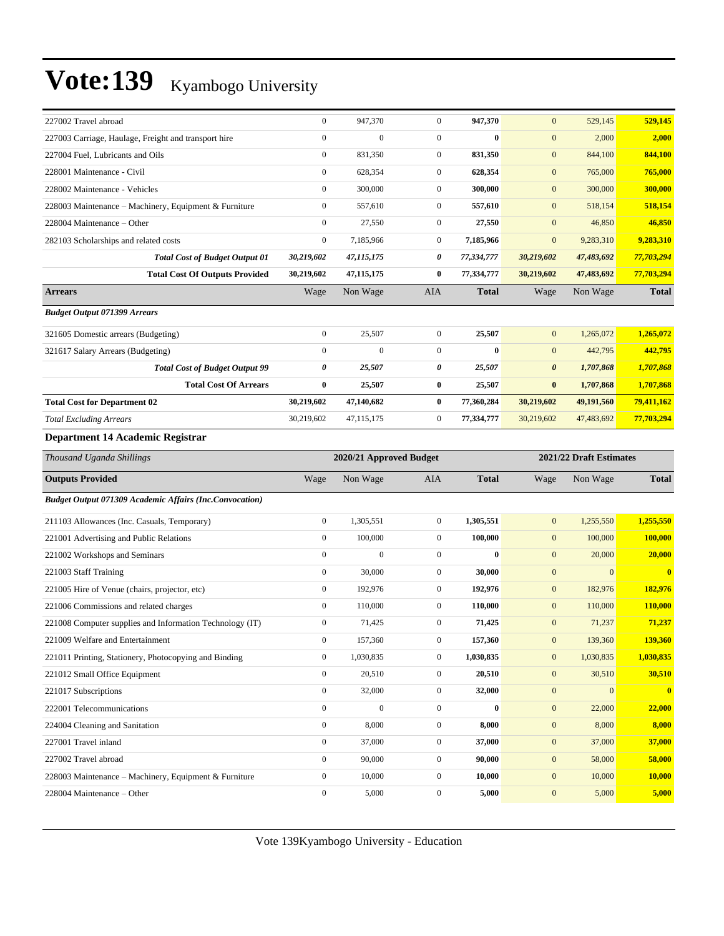| 227002 Travel abroad                                           | $\boldsymbol{0}$ | 947,370                 | $\mathbf{0}$     | 947,370      | $\mathbf{0}$     | 529,145                 | 529,145      |  |  |
|----------------------------------------------------------------|------------------|-------------------------|------------------|--------------|------------------|-------------------------|--------------|--|--|
| 227003 Carriage, Haulage, Freight and transport hire           | $\boldsymbol{0}$ | $\boldsymbol{0}$        | $\mathbf{0}$     | $\bf{0}$     | $\mathbf{0}$     | 2,000                   | 2,000        |  |  |
| 227004 Fuel, Lubricants and Oils                               | $\boldsymbol{0}$ | 831,350                 | $\mathbf{0}$     | 831,350      | $\boldsymbol{0}$ | 844,100                 | 844,100      |  |  |
| 228001 Maintenance - Civil                                     | $\boldsymbol{0}$ | 628,354                 | $\mathbf{0}$     | 628,354      | $\mathbf{0}$     | 765,000                 | 765,000      |  |  |
| 228002 Maintenance - Vehicles                                  | $\boldsymbol{0}$ | 300,000                 | $\mathbf{0}$     | 300,000      | $\mathbf{0}$     | 300,000                 | 300,000      |  |  |
| 228003 Maintenance - Machinery, Equipment & Furniture          | $\boldsymbol{0}$ | 557,610                 | $\mathbf{0}$     | 557,610      | $\mathbf{0}$     | 518,154                 | 518,154      |  |  |
| 228004 Maintenance – Other                                     | $\boldsymbol{0}$ | 27,550                  | $\boldsymbol{0}$ | 27,550       | $\boldsymbol{0}$ | 46,850                  | 46,850       |  |  |
| 282103 Scholarships and related costs                          | $\boldsymbol{0}$ | 7,185,966               | $\mathbf{0}$     | 7,185,966    | $\mathbf{0}$     | 9,283,310               | 9,283,310    |  |  |
| <b>Total Cost of Budget Output 01</b>                          | 30,219,602       | 47,115,175              | 0                | 77,334,777   | 30,219,602       | 47,483,692              | 77,703,294   |  |  |
| <b>Total Cost Of Outputs Provided</b>                          | 30,219,602       | 47, 115, 175            | $\bf{0}$         | 77,334,777   | 30,219,602       | 47,483,692              | 77,703,294   |  |  |
| <b>Arrears</b>                                                 | Wage             | Non Wage                | AIA              | <b>Total</b> | Wage             | Non Wage                | <b>Total</b> |  |  |
| <b>Budget Output 071399 Arrears</b>                            |                  |                         |                  |              |                  |                         |              |  |  |
| 321605 Domestic arrears (Budgeting)                            | $\boldsymbol{0}$ | 25,507                  | $\boldsymbol{0}$ | 25,507       | $\mathbf{0}$     | 1,265,072               | 1,265,072    |  |  |
| 321617 Salary Arrears (Budgeting)                              | $\boldsymbol{0}$ | $\boldsymbol{0}$        | $\boldsymbol{0}$ | $\bf{0}$     | $\mathbf{0}$     | 442,795                 | 442,795      |  |  |
| <b>Total Cost of Budget Output 99</b>                          | 0                | 25,507                  | 0                | 25,507       | 0                | 1,707,868               | 1,707,868    |  |  |
| <b>Total Cost Of Arrears</b>                                   | $\bf{0}$         | 25,507                  | $\bf{0}$         | 25,507       | $\bf{0}$         | 1,707,868               | 1,707,868    |  |  |
| <b>Total Cost for Department 02</b>                            | 30,219,602       | 47,140,682              | $\bf{0}$         | 77,360,284   | 30,219,602       | 49,191,560              | 79,411,162   |  |  |
| <b>Total Excluding Arrears</b>                                 | 30,219,602       | 47,115,175              | $\boldsymbol{0}$ | 77,334,777   | 30,219,602       | 47,483,692              | 77,703,294   |  |  |
| Department 14 Academic Registrar                               |                  |                         |                  |              |                  |                         |              |  |  |
| Thousand Uganda Shillings                                      |                  | 2020/21 Approved Budget |                  |              |                  | 2021/22 Draft Estimates |              |  |  |
| <b>Outputs Provided</b>                                        | Wage             | Non Wage                | AIA              | <b>Total</b> | Wage             | Non Wage                | <b>Total</b> |  |  |
| <b>Budget Output 071309 Academic Affairs (Inc.Convocation)</b> |                  |                         |                  |              |                  |                         |              |  |  |
|                                                                |                  |                         |                  |              |                  |                         |              |  |  |
| 211103 Allowances (Inc. Casuals, Temporary)                    | $\boldsymbol{0}$ | 1,305,551               | $\boldsymbol{0}$ | 1,305,551    | $\boldsymbol{0}$ | 1,255,550               | 1,255,550    |  |  |
| 221001 Advertising and Public Relations                        | $\boldsymbol{0}$ | 100,000                 | $\mathbf{0}$     | 100,000      | $\boldsymbol{0}$ | 100,000                 | 100,000      |  |  |
| 221002 Workshops and Seminars                                  | $\boldsymbol{0}$ | $\mathbf{0}$            | $\mathbf{0}$     | $\bf{0}$     | $\mathbf{0}$     | 20,000                  | 20,000       |  |  |
| 221003 Staff Training                                          | $\boldsymbol{0}$ | 30,000                  | $\mathbf{0}$     | 30,000       | $\mathbf{0}$     | $\mathbf{0}$            | $\bf{0}$     |  |  |
| 221005 Hire of Venue (chairs, projector, etc)                  | $\boldsymbol{0}$ | 192,976                 | $\mathbf{0}$     | 192,976      | $\mathbf{0}$     | 182,976                 | 182,976      |  |  |
| 221006 Commissions and related charges                         | $\boldsymbol{0}$ | 110,000                 | $\mathbf{0}$     | 110,000      | $\mathbf{0}$     | 110,000                 | 110,000      |  |  |
| 221008 Computer supplies and Information Technology (IT)       | $\boldsymbol{0}$ | 71,425                  | $\mathbf{0}$     | 71,425       | $\mathbf{0}$     | 71,237                  | 71,237       |  |  |
| 221009 Welfare and Entertainment                               | $\boldsymbol{0}$ | 157,360                 | $\overline{0}$   | 157,360      | $\mathbf{0}$     | 139,360                 | 139,360      |  |  |
| 221011 Printing, Stationery, Photocopying and Binding          | $\boldsymbol{0}$ | 1,030,835               | $\mathbf{0}$     | 1,030,835    | $\boldsymbol{0}$ | 1,030,835               | 1,030,835    |  |  |
| 221012 Small Office Equipment                                  | $\boldsymbol{0}$ | 20,510                  | $\boldsymbol{0}$ | 20,510       | $\boldsymbol{0}$ | 30,510                  | 30,510       |  |  |
| 221017 Subscriptions                                           | $\boldsymbol{0}$ | 32,000                  | $\boldsymbol{0}$ | 32,000       | $\boldsymbol{0}$ | $\mathbf{0}$            | $\mathbf{0}$ |  |  |
| 222001 Telecommunications                                      | $\boldsymbol{0}$ | $\overline{0}$          | $\mathbf{0}$     | $\bf{0}$     | $\boldsymbol{0}$ | 22,000                  | 22,000       |  |  |
| 224004 Cleaning and Sanitation                                 | $\boldsymbol{0}$ | 8,000                   | $\boldsymbol{0}$ | 8,000        | $\boldsymbol{0}$ | 8,000                   | 8,000        |  |  |
| 227001 Travel inland                                           | $\boldsymbol{0}$ | 37,000                  | $\boldsymbol{0}$ | 37,000       | $\boldsymbol{0}$ | 37,000                  | 37,000       |  |  |
| 227002 Travel abroad                                           | $\boldsymbol{0}$ | 90,000                  | $\boldsymbol{0}$ | 90,000       | $\boldsymbol{0}$ | 58,000                  | 58,000       |  |  |
| 228003 Maintenance – Machinery, Equipment & Furniture          | $\boldsymbol{0}$ | 10,000                  | $\boldsymbol{0}$ | 10,000       | $\boldsymbol{0}$ | 10,000                  | 10,000       |  |  |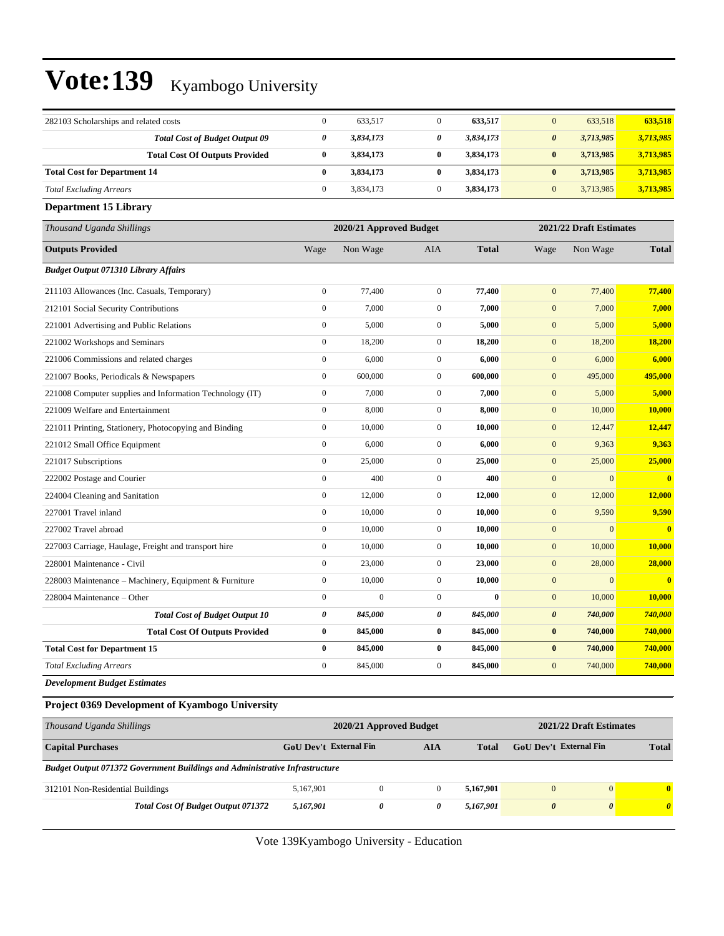| 282103 Scholarships and related costs                                              | $\boldsymbol{0}$       | 633,517                 | $\boldsymbol{0}$      | 633,517      | $\mathbf{0}$                  | 633,518                 | 633,518               |
|------------------------------------------------------------------------------------|------------------------|-------------------------|-----------------------|--------------|-------------------------------|-------------------------|-----------------------|
| <b>Total Cost of Budget Output 09</b>                                              | 0                      | 3,834,173               | 0                     | 3,834,173    | 0                             | 3,713,985               | 3,713,985             |
| <b>Total Cost Of Outputs Provided</b>                                              | $\bf{0}$               | 3,834,173               | $\bf{0}$              | 3,834,173    | $\bf{0}$                      | 3,713,985               | 3,713,985             |
| <b>Total Cost for Department 14</b>                                                | $\bf{0}$               | 3,834,173               | $\bf{0}$              | 3,834,173    | $\bf{0}$                      | 3,713,985               | 3,713,985             |
| <b>Total Excluding Arrears</b>                                                     | $\boldsymbol{0}$       | 3,834,173               | $\mathbf{0}$          | 3,834,173    | $\boldsymbol{0}$              | 3,713,985               | 3,713,985             |
| <b>Department 15 Library</b>                                                       |                        |                         |                       |              |                               |                         |                       |
| Thousand Uganda Shillings                                                          |                        | 2020/21 Approved Budget |                       |              |                               | 2021/22 Draft Estimates |                       |
| <b>Outputs Provided</b>                                                            | Wage                   | Non Wage                | AIA                   | <b>Total</b> | Wage                          | Non Wage                | <b>Total</b>          |
| <b>Budget Output 071310 Library Affairs</b>                                        |                        |                         |                       |              |                               |                         |                       |
| 211103 Allowances (Inc. Casuals, Temporary)                                        | $\boldsymbol{0}$       | 77,400                  | $\boldsymbol{0}$      | 77,400       | $\mathbf{0}$                  | 77,400                  | 77,400                |
| 212101 Social Security Contributions                                               | $\boldsymbol{0}$       | 7,000                   | $\boldsymbol{0}$      | 7,000        | $\boldsymbol{0}$              | 7,000                   | 7,000                 |
| 221001 Advertising and Public Relations                                            | $\boldsymbol{0}$       | 5,000                   | $\mathbf{0}$          | 5,000        | $\boldsymbol{0}$              | 5,000                   | 5,000                 |
| 221002 Workshops and Seminars                                                      | $\boldsymbol{0}$       | 18,200                  | $\boldsymbol{0}$      | 18,200       | $\boldsymbol{0}$              | 18,200                  | 18,200                |
| 221006 Commissions and related charges                                             | $\boldsymbol{0}$       | 6,000                   | $\mathbf{0}$          | 6,000        | $\boldsymbol{0}$              | 6,000                   | 6,000                 |
| 221007 Books, Periodicals & Newspapers                                             | $\boldsymbol{0}$       | 600,000                 | $\boldsymbol{0}$      | 600,000      | $\boldsymbol{0}$              | 495,000                 | 495,000               |
| 221008 Computer supplies and Information Technology (IT)                           | $\boldsymbol{0}$       | 7,000                   | $\boldsymbol{0}$      | 7,000        | $\boldsymbol{0}$              | 5,000                   | 5,000                 |
| 221009 Welfare and Entertainment                                                   | $\boldsymbol{0}$       | 8,000                   | $\mathbf{0}$          | 8,000        | $\boldsymbol{0}$              | 10,000                  | 10,000                |
| 221011 Printing, Stationery, Photocopying and Binding                              | $\boldsymbol{0}$       | 10,000                  | $\boldsymbol{0}$      | 10,000       | $\boldsymbol{0}$              | 12,447                  | 12,447                |
| 221012 Small Office Equipment                                                      | $\boldsymbol{0}$       | 6,000                   | $\mathbf{0}$          | 6,000        | $\boldsymbol{0}$              | 9,363                   | 9,363                 |
| 221017 Subscriptions                                                               | $\boldsymbol{0}$       | 25,000                  | $\boldsymbol{0}$      | 25,000       | $\boldsymbol{0}$              | 25,000                  | 25,000                |
| 222002 Postage and Courier                                                         | $\boldsymbol{0}$       | 400                     | $\boldsymbol{0}$      | 400          | $\boldsymbol{0}$              | $\mathbf{0}$            | $\bf{0}$              |
| 224004 Cleaning and Sanitation                                                     | $\boldsymbol{0}$       | 12,000                  | $\mathbf{0}$          | 12,000       | $\boldsymbol{0}$              | 12,000                  | 12,000                |
| 227001 Travel inland                                                               | $\boldsymbol{0}$       | 10,000                  | $\mathbf{0}$          | 10,000       | $\boldsymbol{0}$              | 9,590                   | 9,590                 |
| 227002 Travel abroad                                                               | $\boldsymbol{0}$       | 10,000                  | $\mathbf{0}$          | 10,000       | $\boldsymbol{0}$              | $\overline{0}$          | $\mathbf{0}$          |
| 227003 Carriage, Haulage, Freight and transport hire                               | $\boldsymbol{0}$       | 10,000                  | $\boldsymbol{0}$      | 10,000       | $\boldsymbol{0}$              | 10,000                  | 10,000                |
| 228001 Maintenance - Civil                                                         | $\boldsymbol{0}$       | 23,000                  | $\mathbf{0}$          | 23,000       | $\boldsymbol{0}$              | 28,000                  | 28,000                |
| 228003 Maintenance - Machinery, Equipment & Furniture                              | $\boldsymbol{0}$       | 10,000                  | $\mathbf{0}$          | 10,000       | $\boldsymbol{0}$              | $\overline{0}$          | $\bf{0}$              |
| 228004 Maintenance – Other                                                         | $\boldsymbol{0}$       | $\mathbf{0}$            | $\boldsymbol{0}$      | $\bf{0}$     | $\boldsymbol{0}$              | 10,000                  | 10,000                |
| <b>Total Cost of Budget Output 10</b>                                              | 0                      | 845,000                 | 0                     | 845,000      | $\boldsymbol{\theta}$         | 740,000                 | 740,000               |
| <b>Total Cost Of Outputs Provided</b>                                              | $\bf{0}$               | 845,000                 | $\bf{0}$              | 845,000      | $\bf{0}$                      | 740,000                 | 740,000               |
| <b>Total Cost for Department 15</b>                                                | $\bf{0}$               | 845,000                 | $\bf{0}$              | 845,000      | $\bf{0}$                      | 740,000                 | 740,000               |
| <b>Total Excluding Arrears</b>                                                     | $\mathbf{0}$           | 845,000                 | $\mathbf{0}$          | 845,000      | $\boldsymbol{0}$              | 740,000                 | 740,000               |
| <b>Development Budget Estimates</b>                                                |                        |                         |                       |              |                               |                         |                       |
| Project 0369 Development of Kyambogo University                                    |                        |                         |                       |              |                               |                         |                       |
| Thousand Uganda Shillings                                                          |                        | 2020/21 Approved Budget |                       |              |                               | 2021/22 Draft Estimates |                       |
| <b>Capital Purchases</b>                                                           | GoU Dev't External Fin |                         | <b>AIA</b>            | <b>Total</b> | <b>GoU Dev't External Fin</b> |                         | <b>Total</b>          |
| <b>Budget Output 071372 Government Buildings and Administrative Infrastructure</b> |                        |                         |                       |              |                               |                         |                       |
| 312101 Non-Residential Buildings                                                   | 5,167,901              | $\boldsymbol{0}$        | $\boldsymbol{0}$      | 5,167,901    | $\mathbf{0}$                  | $\mathbf{0}$            | $\mathbf{0}$          |
| Total Cost Of Budget Output 071372                                                 | 5,167,901              | 0                       | $\boldsymbol{\theta}$ | 5,167,901    | $\boldsymbol{\theta}$         | $\boldsymbol{\theta}$   | $\boldsymbol{\theta}$ |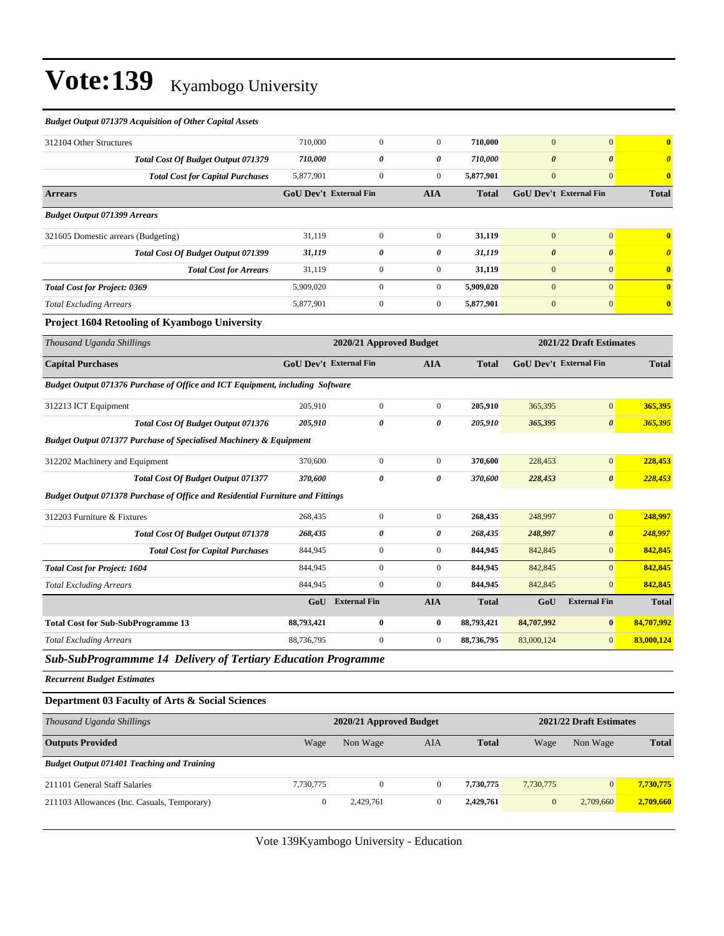#### *Budget Output 071379 Acquisition of Other Capital Assets*

| 312104 Other Structures                                                        | 710,000                       | $\overline{0}$          | $\mathbf{0}$          | 710,000      | $\boldsymbol{0}$              | $\mathbf{0}$            | $\bf{0}$              |
|--------------------------------------------------------------------------------|-------------------------------|-------------------------|-----------------------|--------------|-------------------------------|-------------------------|-----------------------|
| Total Cost Of Budget Output 071379                                             | 710,000                       | 0                       | $\boldsymbol{\theta}$ | 710,000      | $\boldsymbol{\theta}$         | $\boldsymbol{\theta}$   | $\boldsymbol{\theta}$ |
| <b>Total Cost for Capital Purchases</b>                                        | 5,877,901                     | $\mathbf{0}$            | $\overline{0}$        | 5,877,901    | $\boldsymbol{0}$              | $\overline{0}$          | $\bf{0}$              |
| <b>Arrears</b>                                                                 | <b>GoU Dev't External Fin</b> |                         | <b>AIA</b>            | <b>Total</b> | <b>GoU Dev't External Fin</b> |                         | <b>Total</b>          |
| <b>Budget Output 071399 Arrears</b>                                            |                               |                         |                       |              |                               |                         |                       |
| 321605 Domestic arrears (Budgeting)                                            | 31,119                        | $\boldsymbol{0}$        | $\mathbf{0}$          | 31,119       | $\overline{0}$                | $\mathbf{0}$            | $\bf{0}$              |
| <b>Total Cost Of Budget Output 071399</b>                                      | 31,119                        | 0                       | $\boldsymbol{\theta}$ | 31,119       | $\boldsymbol{\theta}$         | $\boldsymbol{\theta}$   | $\boldsymbol{\theta}$ |
| <b>Total Cost for Arrears</b>                                                  | 31,119                        | $\boldsymbol{0}$        | $\mathbf{0}$          | 31,119       | $\boldsymbol{0}$              | $\boldsymbol{0}$        | $\bf{0}$              |
| <b>Total Cost for Project: 0369</b>                                            | 5,909,020                     | $\mathbf{0}$            | $\mathbf{0}$          | 5,909,020    | $\mathbf{0}$                  | $\mathbf{0}$            | $\bf{0}$              |
| <b>Total Excluding Arrears</b>                                                 | 5,877,901                     | $\mathbf{0}$            | $\mathbf{0}$          | 5,877,901    | $\mathbf{0}$                  | $\mathbf{0}$            | $\bf{0}$              |
| Project 1604 Retooling of Kyambogo University                                  |                               |                         |                       |              |                               |                         |                       |
| Thousand Uganda Shillings                                                      |                               | 2020/21 Approved Budget |                       |              |                               | 2021/22 Draft Estimates |                       |
| <b>Capital Purchases</b>                                                       | <b>GoU Dev't External Fin</b> |                         | <b>AIA</b>            | <b>Total</b> | <b>GoU Dev't External Fin</b> |                         | <b>Total</b>          |
| Budget Output 071376 Purchase of Office and ICT Equipment, including Software  |                               |                         |                       |              |                               |                         |                       |
| 312213 ICT Equipment                                                           | 205,910                       | $\boldsymbol{0}$        | $\overline{0}$        | 205,910      | 365,395                       | $\mathbf{0}$            | 365,395               |
| Total Cost Of Budget Output 071376                                             | 205,910                       | 0                       | $\boldsymbol{\theta}$ | 205,910      | 365,395                       | $\boldsymbol{\theta}$   | 365,395               |
| <b>Budget Output 071377 Purchase of Specialised Machinery &amp; Equipment</b>  |                               |                         |                       |              |                               |                         |                       |
| 312202 Machinery and Equipment                                                 | 370,600                       | $\boldsymbol{0}$        | $\mathbf{0}$          | 370,600      | 228,453                       | $\mathbf{0}$            | 228,453               |
| Total Cost Of Budget Output 071377                                             | 370,600                       | 0                       | 0                     | 370,600      | 228,453                       | $\boldsymbol{\theta}$   | 228,453               |
| Budget Output 071378 Purchase of Office and Residential Furniture and Fittings |                               |                         |                       |              |                               |                         |                       |
| 312203 Furniture & Fixtures                                                    | 268,435                       | $\boldsymbol{0}$        | $\mathbf{0}$          | 268,435      | 248,997                       | $\mathbf{0}$            | 248,997               |
| Total Cost Of Budget Output 071378                                             | 268,435                       | 0                       | 0                     | 268,435      | 248,997                       | $\boldsymbol{\theta}$   | 248,997               |
| <b>Total Cost for Capital Purchases</b>                                        | 844,945                       | $\mathbf{0}$            | $\mathbf{0}$          | 844,945      | 842,845                       | $\mathbf{0}$            | 842,845               |
| <b>Total Cost for Project: 1604</b>                                            | 844,945                       | $\mathbf{0}$            | $\mathbf{0}$          | 844,945      | 842,845                       | $\mathbf{0}$            | 842,845               |
| <b>Total Excluding Arrears</b>                                                 | 844,945                       | $\mathbf{0}$            | $\theta$              | 844,945      | 842,845                       | $\mathbf{0}$            | 842,845               |
|                                                                                | GoU                           | <b>External Fin</b>     | <b>AIA</b>            | <b>Total</b> | GoU                           | <b>External Fin</b>     | <b>Total</b>          |
| <b>Total Cost for Sub-SubProgramme 13</b>                                      | 88,793,421                    | $\bf{0}$                | $\bf{0}$              | 88,793,421   | 84,707,992                    | $\bf{0}$                | 84,707,992            |
| <b>Total Excluding Arrears</b>                                                 | 88,736,795                    | $\mathbf{0}$            | $\mathbf{0}$          | 88,736,795   | 83,000,124                    | $\mathbf{0}$            | 83,000,124            |
| Sub-SubProgrammme 14 Delivery of Tertiary Education Programme                  |                               |                         |                       |              |                               |                         |                       |
| <b>Recurrent Budget Estimates</b>                                              |                               |                         |                       |              |                               |                         |                       |
| Department 03 Faculty of Arts & Social Sciences                                |                               |                         |                       |              |                               |                         |                       |
| Thousand Uganda Shillings                                                      |                               | 2020/21 Approved Budget |                       |              |                               | 2021/22 Draft Estimates |                       |
| <b>Outputs Provided</b>                                                        | Wage                          | Non Wage                | AIA                   | <b>Total</b> | Wage                          | Non Wage                | <b>Total</b>          |
| <b>Budget Output 071401 Teaching and Training</b>                              |                               |                         |                       |              |                               |                         |                       |
| 211101 General Staff Salaries                                                  | 7,730,775                     | $\boldsymbol{0}$        | $\overline{0}$        | 7,730,775    | 7,730,775                     | $\mathbf{0}$            | 7,730,775             |
| 211103 Allowances (Inc. Casuals, Temporary)                                    | $\boldsymbol{0}$              | 2,429,761               | $\boldsymbol{0}$      | 2,429,761    | $\boldsymbol{0}$              | 2,709,660               | 2,709,660             |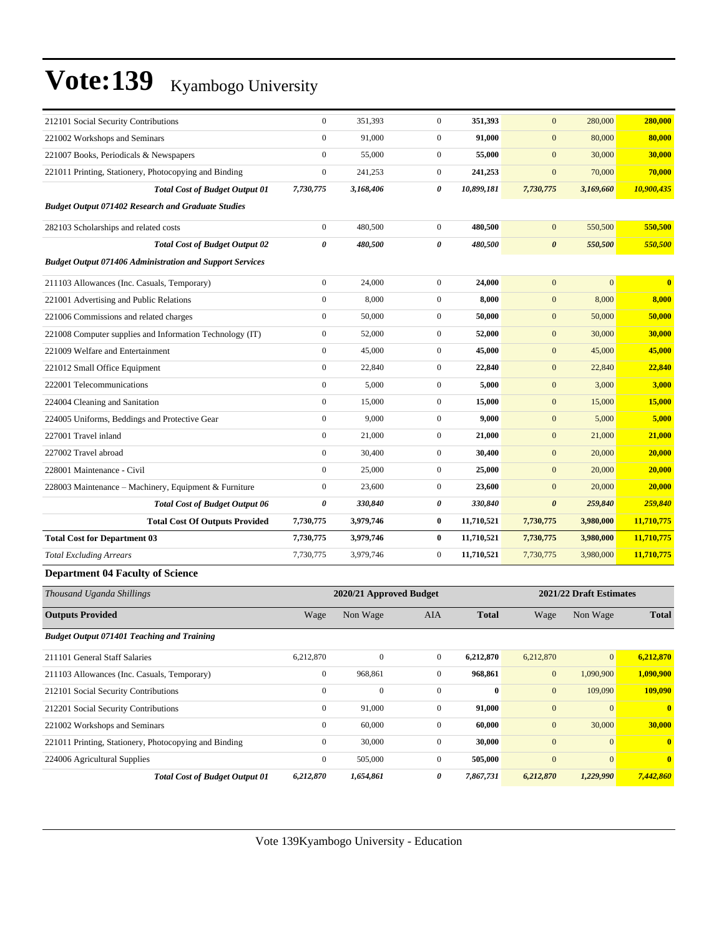| 212101 Social Security Contributions                            | $\mathbf{0}$          | 351,393   | $\mathbf{0}$          | 351,393    | $\mathbf{0}$          | 280,000      | 280,000      |
|-----------------------------------------------------------------|-----------------------|-----------|-----------------------|------------|-----------------------|--------------|--------------|
| 221002 Workshops and Seminars                                   | $\mathbf{0}$          | 91,000    | $\overline{0}$        | 91,000     | $\mathbf{0}$          | 80,000       | 80,000       |
| 221007 Books, Periodicals & Newspapers                          | $\mathbf{0}$          | 55,000    | $\overline{0}$        | 55,000     | $\mathbf{0}$          | 30,000       | 30,000       |
| 221011 Printing, Stationery, Photocopying and Binding           | $\boldsymbol{0}$      | 241,253   | $\overline{0}$        | 241,253    | $\mathbf{0}$          | 70,000       | 70,000       |
| <b>Total Cost of Budget Output 01</b>                           | 7,730,775             | 3,168,406 | 0                     | 10,899,181 | 7,730,775             | 3,169,660    | 10,900,435   |
| <b>Budget Output 071402 Research and Graduate Studies</b>       |                       |           |                       |            |                       |              |              |
| 282103 Scholarships and related costs                           | $\boldsymbol{0}$      | 480,500   | $\mathbf{0}$          | 480,500    | $\mathbf{0}$          | 550,500      | 550,500      |
| <b>Total Cost of Budget Output 02</b>                           | $\pmb{\theta}$        | 480,500   | $\boldsymbol{\theta}$ | 480,500    | $\boldsymbol{\theta}$ | 550,500      | 550,500      |
| <b>Budget Output 071406 Administration and Support Services</b> |                       |           |                       |            |                       |              |              |
| 211103 Allowances (Inc. Casuals, Temporary)                     | $\mathbf{0}$          | 24,000    | $\overline{0}$        | 24,000     | $\mathbf{0}$          | $\mathbf{0}$ | $\mathbf{0}$ |
| 221001 Advertising and Public Relations                         | $\boldsymbol{0}$      | 8,000     | $\boldsymbol{0}$      | 8,000      | $\mathbf{0}$          | 8,000        | 8,000        |
| 221006 Commissions and related charges                          | $\mathbf{0}$          | 50,000    | $\overline{0}$        | 50,000     | $\mathbf{0}$          | 50,000       | 50,000       |
| 221008 Computer supplies and Information Technology (IT)        | $\boldsymbol{0}$      | 52,000    | $\boldsymbol{0}$      | 52,000     | $\mathbf{0}$          | 30,000       | 30,000       |
| 221009 Welfare and Entertainment                                | $\mathbf{0}$          | 45,000    | $\overline{0}$        | 45,000     | $\mathbf{0}$          | 45,000       | 45,000       |
| 221012 Small Office Equipment                                   | $\mathbf{0}$          | 22,840    | $\mathbf{0}$          | 22,840     | $\mathbf{0}$          | 22,840       | 22,840       |
| 222001 Telecommunications                                       | $\mathbf{0}$          | 5,000     | $\boldsymbol{0}$      | 5,000      | $\mathbf{0}$          | 3,000        | 3,000        |
| 224004 Cleaning and Sanitation                                  | $\mathbf{0}$          | 15,000    | $\overline{0}$        | 15,000     | $\mathbf{0}$          | 15,000       | 15,000       |
| 224005 Uniforms, Beddings and Protective Gear                   | $\mathbf{0}$          | 9,000     | $\mathbf{0}$          | 9.000      | $\mathbf{0}$          | 5,000        | 5,000        |
| 227001 Travel inland                                            | $\boldsymbol{0}$      | 21,000    | $\boldsymbol{0}$      | 21,000     | $\mathbf{0}$          | 21,000       | 21,000       |
| 227002 Travel abroad                                            | $\mathbf{0}$          | 30,400    | $\overline{0}$        | 30,400     | $\mathbf{0}$          | 20,000       | 20,000       |
| 228001 Maintenance - Civil                                      | $\boldsymbol{0}$      | 25,000    | $\boldsymbol{0}$      | 25,000     | $\mathbf{0}$          | 20,000       | 20,000       |
| 228003 Maintenance - Machinery, Equipment & Furniture           | $\mathbf{0}$          | 23,600    | $\mathbf{0}$          | 23,600     | $\mathbf{0}$          | 20,000       | 20,000       |
| <b>Total Cost of Budget Output 06</b>                           | $\boldsymbol{\theta}$ | 330,840   | 0                     | 330,840    | $\boldsymbol{\theta}$ | 259,840      | 259,840      |
| <b>Total Cost Of Outputs Provided</b>                           | 7,730,775             | 3,979,746 | $\bf{0}$              | 11,710,521 | 7,730,775             | 3,980,000    | 11,710,775   |
| <b>Total Cost for Department 03</b>                             | 7,730,775             | 3,979,746 | $\bf{0}$              | 11,710,521 | 7,730,775             | 3,980,000    | 11,710,775   |
| <b>Total Excluding Arrears</b>                                  | 7,730,775             | 3,979,746 | $\mathbf{0}$          | 11,710,521 | 7,730,775             | 3,980,000    | 11,710,775   |
|                                                                 |                       |           |                       |            |                       |              |              |

#### **Department 04 Faculty of Science**

| Thousand Uganda Shillings                             | 2020/21 Approved Budget |              |                | 2021/22 Draft Estimates |              |                 |                |
|-------------------------------------------------------|-------------------------|--------------|----------------|-------------------------|--------------|-----------------|----------------|
| <b>Outputs Provided</b>                               | Wage                    | Non Wage     | <b>AIA</b>     | <b>Total</b>            | Wage         | Non Wage        | <b>Total</b>   |
| <b>Budget Output 071401 Teaching and Training</b>     |                         |              |                |                         |              |                 |                |
| 211101 General Staff Salaries                         | 6,212,870               | $\mathbf{0}$ | $\mathbf{0}$   | 6,212,870               | 6,212,870    | $\vert 0 \vert$ | 6,212,870      |
| 211103 Allowances (Inc. Casuals, Temporary)           | $\mathbf{0}$            | 968,861      | $\Omega$       | 968,861                 | $\mathbf{0}$ | 1,090,900       | 1,090,900      |
| 212101 Social Security Contributions                  | $\mathbf{0}$            | $\mathbf{0}$ | $\theta$       | $\bf{0}$                | $\mathbf{0}$ | 109,090         | 109,090        |
| 212201 Social Security Contributions                  | $\mathbf{0}$            | 91,000       | $\overline{0}$ | 91,000                  | $\mathbf{0}$ | $\overline{0}$  | $\mathbf{0}$   |
| 221002 Workshops and Seminars                         | $\mathbf{0}$            | 60,000       | $\overline{0}$ | 60,000                  | $\mathbf{0}$ | 30,000          | 30,000         |
| 221011 Printing, Stationery, Photocopying and Binding | $\mathbf{0}$            | 30,000       | $\mathbf{0}$   | 30,000                  | $\mathbf{0}$ | $\overline{0}$  | $\overline{0}$ |
| 224006 Agricultural Supplies                          | $\mathbf{0}$            | 505,000      | $\mathbf{0}$   | 505,000                 | $\mathbf{0}$ | $\overline{0}$  | $\mathbf{0}$   |
| <b>Total Cost of Budget Output 01</b>                 | 6,212,870               | 1,654,861    | 0              | 7,867,731               | 6,212,870    | 1,229,990       | 7,442,860      |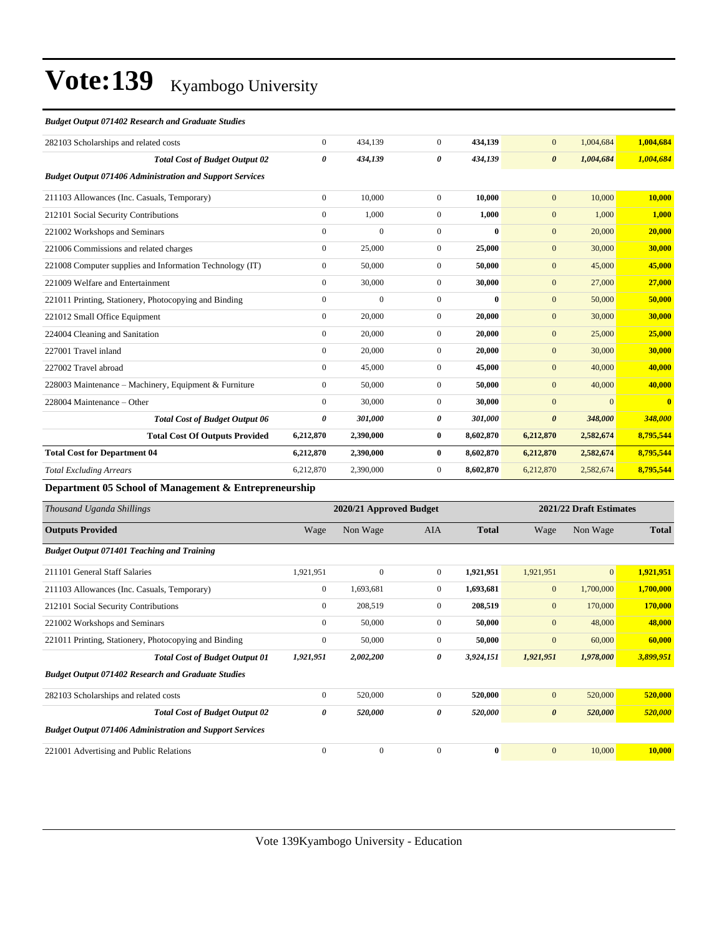#### *Budget Output 071402 Research and Graduate Studies*

| 282103 Scholarships and related costs                           | $\overline{0}$ | 434,139      | $\overline{0}$ | 434,139   | $\mathbf{0}$          | 1,004,684 | 1,004,684               |
|-----------------------------------------------------------------|----------------|--------------|----------------|-----------|-----------------------|-----------|-------------------------|
| <b>Total Cost of Budget Output 02</b>                           | 0              | 434,139      | 0              | 434,139   | $\boldsymbol{\theta}$ | 1,004,684 | 1,004,684               |
| <b>Budget Output 071406 Administration and Support Services</b> |                |              |                |           |                       |           |                         |
| 211103 Allowances (Inc. Casuals, Temporary)                     | $\overline{0}$ | 10.000       | $\mathbf{0}$   | 10.000    | $\overline{0}$        | 10,000    | 10,000                  |
| 212101 Social Security Contributions                            | $\overline{0}$ | 1,000        | $\mathbf{0}$   | 1,000     | $\mathbf{0}$          | 1,000     | 1,000                   |
| 221002 Workshops and Seminars                                   | $\overline{0}$ | $\mathbf{0}$ | $\mathbf{0}$   | $\bf{0}$  | $\overline{0}$        | 20,000    | 20,000                  |
| 221006 Commissions and related charges                          | $\overline{0}$ | 25,000       | $\Omega$       | 25,000    | $\overline{0}$        | 30,000    | 30,000                  |
| 221008 Computer supplies and Information Technology (IT)        | $\overline{0}$ | 50,000       | $\Omega$       | 50.000    | $\overline{0}$        | 45,000    | 45,000                  |
| 221009 Welfare and Entertainment                                | $\overline{0}$ | 30,000       | $\mathbf{0}$   | 30,000    | $\mathbf{0}$          | 27,000    | 27,000                  |
| 221011 Printing, Stationery, Photocopying and Binding           | $\overline{0}$ | $\mathbf{0}$ | $\mathbf{0}$   | $\bf{0}$  | $\overline{0}$        | 50,000    | 50,000                  |
| 221012 Small Office Equipment                                   | $\overline{0}$ | 20,000       | $\mathbf{0}$   | 20,000    | $\mathbf{0}$          | 30,000    | 30,000                  |
| 224004 Cleaning and Sanitation                                  | $\overline{0}$ | 20,000       | $\Omega$       | 20,000    | $\mathbf{0}$          | 25,000    | 25,000                  |
| 227001 Travel inland                                            | $\Omega$       | 20,000       | $\Omega$       | 20,000    | $\mathbf{0}$          | 30,000    | 30,000                  |
| 227002 Travel abroad                                            | $\overline{0}$ | 45,000       | $\overline{0}$ | 45,000    | $\overline{0}$        | 40,000    | 40,000                  |
| 228003 Maintenance – Machinery, Equipment & Furniture           | $\overline{0}$ | 50,000       | $\Omega$       | 50,000    | $\overline{0}$        | 40,000    | 40,000                  |
| 228004 Maintenance – Other                                      | $\Omega$       | 30,000       | $\mathbf{0}$   | 30,000    | $\mathbf{0}$          | $\Omega$  | $\overline{\mathbf{0}}$ |
| <b>Total Cost of Budget Output 06</b>                           | 0              | 301,000      | 0              | 301,000   | $\boldsymbol{\theta}$ | 348,000   | 348,000                 |
| <b>Total Cost Of Outputs Provided</b>                           | 6,212,870      | 2,390,000    | $\bf{0}$       | 8,602,870 | 6,212,870             | 2,582,674 | 8,795,544               |
| <b>Total Cost for Department 04</b>                             | 6,212,870      | 2,390,000    | $\mathbf{0}$   | 8,602,870 | 6,212,870             | 2,582,674 | 8,795,544               |
| <b>Total Excluding Arrears</b>                                  | 6,212,870      | 2,390,000    | $\mathbf{0}$   | 8,602,870 | 6,212,870             | 2,582,674 | 8,795,544               |
|                                                                 |                |              |                |           |                       |           |                         |

**Department 05 School of Management & Entrepreneurship**

| Thousand Uganda Shillings                                       |                | 2020/21 Approved Budget |              | 2021/22 Draft Estimates |                       |                |              |
|-----------------------------------------------------------------|----------------|-------------------------|--------------|-------------------------|-----------------------|----------------|--------------|
| <b>Outputs Provided</b>                                         | Wage           | Non Wage                | <b>AIA</b>   | <b>Total</b>            | Wage                  | Non Wage       | <b>Total</b> |
| <b>Budget Output 071401 Teaching and Training</b>               |                |                         |              |                         |                       |                |              |
| 211101 General Staff Salaries                                   | 1,921,951      | $\mathbf{0}$            | $\mathbf{0}$ | 1,921,951               | 1,921,951             | $\overline{0}$ | 1,921,951    |
| 211103 Allowances (Inc. Casuals, Temporary)                     | $\overline{0}$ | 1,693,681               | $\mathbf{0}$ | 1,693,681               | $\mathbf{0}$          | 1,700,000      | 1,700,000    |
| 212101 Social Security Contributions                            | $\overline{0}$ | 208,519                 | $\Omega$     | 208,519                 | $\mathbf{0}$          | 170,000        | 170,000      |
| 221002 Workshops and Seminars                                   | $\overline{0}$ | 50,000                  | $\mathbf{0}$ | 50,000                  | $\mathbf{0}$          | 48,000         | 48,000       |
| 221011 Printing, Stationery, Photocopying and Binding           | $\mathbf{0}$   | 50,000                  | $\Omega$     | 50,000                  | $\overline{0}$        | 60,000         | 60,000       |
| <b>Total Cost of Budget Output 01</b>                           | 1,921,951      | 2,002,200               | 0            | 3,924,151               | 1,921,951             | 1,978,000      | 3,899,951    |
| <b>Budget Output 071402 Research and Graduate Studies</b>       |                |                         |              |                         |                       |                |              |
| 282103 Scholarships and related costs                           | $\overline{0}$ | 520,000                 | $\Omega$     | 520,000                 | $\mathbf{0}$          | 520,000        | 520,000      |
| <b>Total Cost of Budget Output 02</b>                           | 0              | 520,000                 | 0            | 520,000                 | $\boldsymbol{\theta}$ | 520,000        | 520,000      |
| <b>Budget Output 071406 Administration and Support Services</b> |                |                         |              |                         |                       |                |              |
| 221001 Advertising and Public Relations                         | $\Omega$       | $\mathbf{0}$            | $\Omega$     | $\mathbf{0}$            | $\overline{0}$        | 10,000         | 10,000       |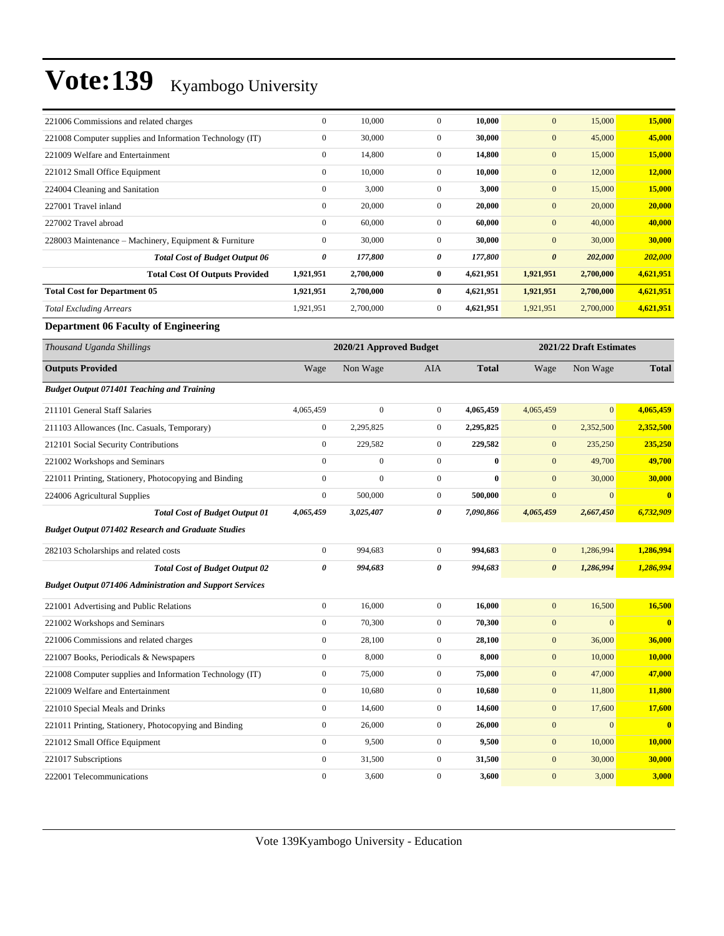| 221006 Commissions and related charges                          | $\boldsymbol{0}$      | 10,000                  | $\boldsymbol{0}$ | 10,000       | $\mathbf{0}$          | 15,000                  | 15,000                  |
|-----------------------------------------------------------------|-----------------------|-------------------------|------------------|--------------|-----------------------|-------------------------|-------------------------|
| 221008 Computer supplies and Information Technology (IT)        | $\boldsymbol{0}$      | 30,000                  | $\boldsymbol{0}$ | 30,000       | $\mathbf{0}$          | 45,000                  | 45,000                  |
| 221009 Welfare and Entertainment                                | $\boldsymbol{0}$      | 14,800                  | $\boldsymbol{0}$ | 14,800       | $\mathbf{0}$          | 15,000                  | 15,000                  |
| 221012 Small Office Equipment                                   | $\boldsymbol{0}$      | 10,000                  | $\mathbf{0}$     | 10,000       | $\mathbf{0}$          | 12,000                  | 12,000                  |
| 224004 Cleaning and Sanitation                                  | $\boldsymbol{0}$      | 3,000                   | $\boldsymbol{0}$ | 3,000        | $\mathbf{0}$          | 15,000                  | 15,000                  |
| 227001 Travel inland                                            | $\boldsymbol{0}$      | 20,000                  | $\overline{0}$   | 20,000       | $\mathbf{0}$          | 20,000                  | 20,000                  |
| 227002 Travel abroad                                            | $\boldsymbol{0}$      | 60,000                  | $\boldsymbol{0}$ | 60,000       | $\mathbf{0}$          | 40,000                  | 40,000                  |
| 228003 Maintenance - Machinery, Equipment & Furniture           | $\boldsymbol{0}$      | 30,000                  | $\overline{0}$   | 30,000       | $\mathbf{0}$          | 30,000                  | 30,000                  |
| <b>Total Cost of Budget Output 06</b>                           | 0                     | 177,800                 | 0                | 177,800      | $\boldsymbol{\theta}$ | 202,000                 | 202,000                 |
| <b>Total Cost Of Outputs Provided</b>                           | 1,921,951             | 2,700,000               | 0                | 4,621,951    | 1,921,951             | 2,700,000               | 4,621,951               |
| <b>Total Cost for Department 05</b>                             | 1,921,951             | 2,700,000               | $\bf{0}$         | 4,621,951    | 1,921,951             | 2,700,000               | 4,621,951               |
| <b>Total Excluding Arrears</b>                                  | 1,921,951             | 2,700,000               | $\boldsymbol{0}$ | 4,621,951    | 1,921,951             | 2,700,000               | 4,621,951               |
| <b>Department 06 Faculty of Engineering</b>                     |                       |                         |                  |              |                       |                         |                         |
| Thousand Uganda Shillings                                       |                       | 2020/21 Approved Budget |                  |              |                       | 2021/22 Draft Estimates |                         |
| <b>Outputs Provided</b>                                         | Wage                  | Non Wage                | AIA              | <b>Total</b> | Wage                  | Non Wage                | <b>Total</b>            |
| <b>Budget Output 071401 Teaching and Training</b>               |                       |                         |                  |              |                       |                         |                         |
| 211101 General Staff Salaries                                   | 4,065,459             | $\mathbf{0}$            | $\boldsymbol{0}$ | 4,065,459    | 4,065,459             | $\overline{0}$          | 4,065,459               |
| 211103 Allowances (Inc. Casuals, Temporary)                     | $\boldsymbol{0}$      | 2,295,825               | $\boldsymbol{0}$ | 2,295,825    | $\mathbf{0}$          | 2,352,500               | 2,352,500               |
| 212101 Social Security Contributions                            | $\boldsymbol{0}$      | 229,582                 | $\mathbf{0}$     | 229,582      | $\mathbf{0}$          | 235,250                 | 235,250                 |
| 221002 Workshops and Seminars                                   | $\mathbf{0}$          | $\boldsymbol{0}$        | $\boldsymbol{0}$ | $\bf{0}$     | $\mathbf{0}$          | 49,700                  | 49,700                  |
| 221011 Printing, Stationery, Photocopying and Binding           | $\boldsymbol{0}$      | $\boldsymbol{0}$        | $\boldsymbol{0}$ | $\bf{0}$     | $\mathbf{0}$          | 30,000                  | 30,000                  |
| 224006 Agricultural Supplies                                    | $\boldsymbol{0}$      | 500,000                 | $\overline{0}$   | 500,000      | $\mathbf{0}$          | $\mathbf{0}$            | $\overline{\mathbf{0}}$ |
| <b>Total Cost of Budget Output 01</b>                           | 4,065,459             | 3,025,407               | 0                | 7,090,866    | 4,065,459             | 2,667,450               | 6,732,909               |
| <b>Budget Output 071402 Research and Graduate Studies</b>       |                       |                         |                  |              |                       |                         |                         |
| 282103 Scholarships and related costs                           | $\boldsymbol{0}$      | 994,683                 | $\mathbf{0}$     | 994,683      | $\mathbf{0}$          | 1,286,994               | 1,286,994               |
| <b>Total Cost of Budget Output 02</b>                           | $\boldsymbol{\theta}$ | 994,683                 | 0                | 994,683      | $\boldsymbol{\theta}$ | 1,286,994               | 1,286,994               |
| <b>Budget Output 071406 Administration and Support Services</b> |                       |                         |                  |              |                       |                         |                         |
| 221001 Advertising and Public Relations                         | $\boldsymbol{0}$      | 16,000                  | $\mathbf{0}$     | 16,000       | $\mathbf{0}$          | 16,500                  | 16,500                  |
| 221002 Workshops and Seminars                                   | $\boldsymbol{0}$      | 70,300                  | $\boldsymbol{0}$ | 70,300       | $\mathbf{0}$          | $\mathbf{0}$            | $\overline{\mathbf{0}}$ |
| 221006 Commissions and related charges                          | $\boldsymbol{0}$      | 28,100                  | $\boldsymbol{0}$ | 28,100       | $\bf{0}$              | 36,000                  | 36,000                  |
| 221007 Books, Periodicals & Newspapers                          | $\boldsymbol{0}$      | 8,000                   | $\mathbf{0}$     | 8,000        | $\boldsymbol{0}$      | 10,000                  | 10,000                  |
| 221008 Computer supplies and Information Technology (IT)        | $\boldsymbol{0}$      | 75,000                  | $\boldsymbol{0}$ | 75,000       | $\boldsymbol{0}$      | 47,000                  | 47,000                  |
| 221009 Welfare and Entertainment                                | $\boldsymbol{0}$      | 10,680                  | $\boldsymbol{0}$ | 10,680       | $\boldsymbol{0}$      | 11,800                  | 11,800                  |
| 221010 Special Meals and Drinks                                 | $\boldsymbol{0}$      | 14,600                  | $\boldsymbol{0}$ | 14,600       | $\mathbf{0}$          | 17,600                  | 17,600                  |
| 221011 Printing, Stationery, Photocopying and Binding           | $\boldsymbol{0}$      | 26,000                  | $\boldsymbol{0}$ | 26,000       | $\boldsymbol{0}$      | $\mathbf{0}$            | $\bullet$               |
| 221012 Small Office Equipment                                   | $\boldsymbol{0}$      | 9,500                   | $\boldsymbol{0}$ | 9,500        | $\boldsymbol{0}$      | 10,000                  | 10,000                  |
| 221017 Subscriptions                                            | $\boldsymbol{0}$      | 31,500                  | $\boldsymbol{0}$ | 31,500       | $\boldsymbol{0}$      | 30,000                  | 30,000                  |
| 222001 Telecommunications                                       | $\boldsymbol{0}$      | 3,600                   | $\overline{0}$   | 3,600        | $\boldsymbol{0}$      | 3,000                   | 3,000                   |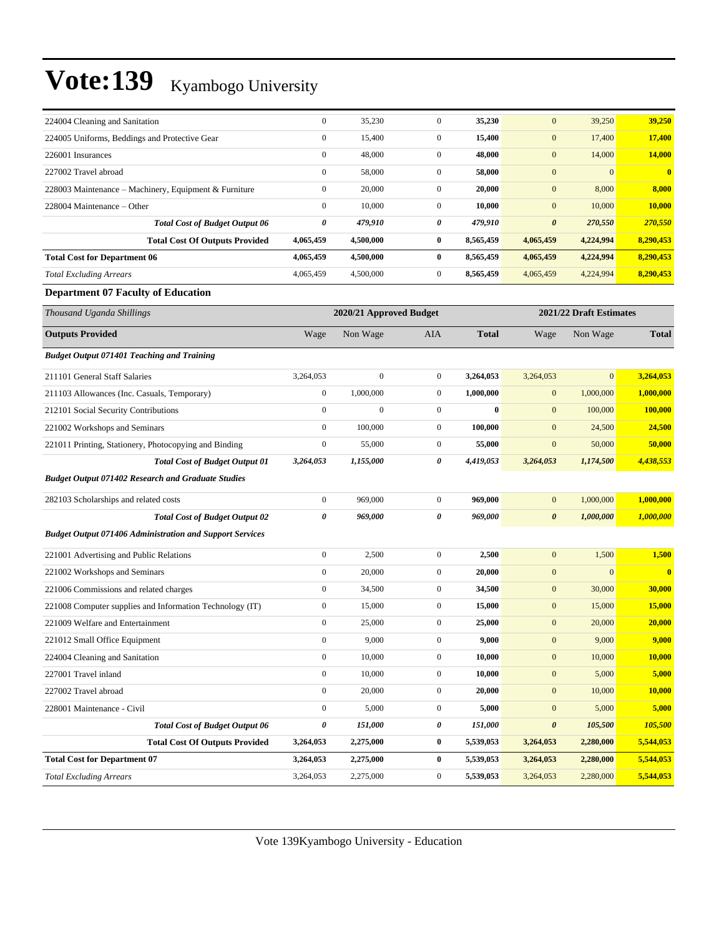| 224004 Cleaning and Sanitation                        | $\mathbf{0}$   | 35,230    | 0            | 35,230    | $\boldsymbol{0}$      | 39,250    | 39,250       |
|-------------------------------------------------------|----------------|-----------|--------------|-----------|-----------------------|-----------|--------------|
| 224005 Uniforms, Beddings and Protective Gear         | $\mathbf{0}$   | 15,400    | $\Omega$     | 15,400    | $\mathbf{0}$          | 17,400    | 17,400       |
| 226001 Insurances                                     | $\mathbf{0}$   | 48,000    | $\Omega$     | 48,000    | $\overline{0}$        | 14,000    | 14,000       |
| 227002 Travel abroad                                  | $\overline{0}$ | 58,000    | $\mathbf{0}$ | 58,000    | $\mathbf{0}$          |           | $\mathbf{0}$ |
| 228003 Maintenance – Machinery, Equipment & Furniture | $\overline{0}$ | 20,000    | $\mathbf{0}$ | 20,000    | $\overline{0}$        | 8,000     | 8,000        |
| 228004 Maintenance – Other                            | $\overline{0}$ | 10,000    | $\mathbf{0}$ | 10,000    | $\mathbf{0}$          | 10,000    | 10.000       |
| <b>Total Cost of Budget Output 06</b>                 | 0              | 479,910   | 0            | 479,910   | $\boldsymbol{\theta}$ | 270,550   | 270,550      |
| <b>Total Cost Of Outputs Provided</b>                 | 4,065,459      | 4,500,000 | $\bf{0}$     | 8,565,459 | 4,065,459             | 4,224,994 | 8,290,453    |
| <b>Total Cost for Department 06</b>                   | 4,065,459      | 4,500,000 | $\mathbf{0}$ | 8,565,459 | 4,065,459             | 4,224,994 | 8,290,453    |
| <b>Total Excluding Arrears</b>                        | 4,065,459      | 4,500,000 | $\Omega$     | 8,565,459 | 4,065,459             | 4,224,994 | 8,290,453    |

### **Department 07 Faculty of Education**

| Thousand Uganda Shillings                                       |                  | 2020/21 Approved Budget |                  |              |                       | 2021/22 Draft Estimates |                         |
|-----------------------------------------------------------------|------------------|-------------------------|------------------|--------------|-----------------------|-------------------------|-------------------------|
| <b>Outputs Provided</b>                                         | Wage             | Non Wage                | <b>AIA</b>       | <b>Total</b> | Wage                  | Non Wage                | <b>Total</b>            |
| <b>Budget Output 071401 Teaching and Training</b>               |                  |                         |                  |              |                       |                         |                         |
| 211101 General Staff Salaries                                   | 3,264,053        | $\mathbf{0}$            | $\overline{0}$   | 3,264,053    | 3,264,053             | $\overline{0}$          | 3,264,053               |
| 211103 Allowances (Inc. Casuals, Temporary)                     | $\mathbf{0}$     | 1,000,000               | $\overline{0}$   | 1,000,000    | $\mathbf{0}$          | 1,000,000               | 1,000,000               |
| 212101 Social Security Contributions                            | $\mathbf{0}$     | $\boldsymbol{0}$        | $\overline{0}$   | $\bf{0}$     | $\mathbf{0}$          | 100,000                 | 100,000                 |
| 221002 Workshops and Seminars                                   | $\mathbf{0}$     | 100,000                 | $\overline{0}$   | 100,000      | $\mathbf{0}$          | 24,500                  | 24,500                  |
| 221011 Printing, Stationery, Photocopying and Binding           | $\boldsymbol{0}$ | 55,000                  | $\mathbf{0}$     | 55,000       | $\mathbf{0}$          | 50,000                  | 50,000                  |
| <b>Total Cost of Budget Output 01</b>                           | 3,264,053        | 1,155,000               | 0                | 4,419,053    | 3,264,053             | 1,174,500               | 4,438,553               |
| <b>Budget Output 071402 Research and Graduate Studies</b>       |                  |                         |                  |              |                       |                         |                         |
| 282103 Scholarships and related costs                           | $\boldsymbol{0}$ | 969,000                 | $\overline{0}$   | 969,000      | $\mathbf{0}$          | 1,000,000               | 1,000,000               |
| <b>Total Cost of Budget Output 02</b>                           | 0                | 969,000                 | 0                | 969,000      | $\boldsymbol{\theta}$ | 1,000,000               | 1,000,000               |
| <b>Budget Output 071406 Administration and Support Services</b> |                  |                         |                  |              |                       |                         |                         |
| 221001 Advertising and Public Relations                         | $\boldsymbol{0}$ | 2,500                   | $\overline{0}$   | 2,500        | $\boldsymbol{0}$      | 1,500                   | 1,500                   |
| 221002 Workshops and Seminars                                   | $\mathbf{0}$     | 20,000                  | $\boldsymbol{0}$ | 20,000       | $\boldsymbol{0}$      | $\mathbf{0}$            | $\overline{\mathbf{0}}$ |
| 221006 Commissions and related charges                          | $\mathbf{0}$     | 34,500                  | $\overline{0}$   | 34,500       | $\mathbf{0}$          | 30,000                  | 30,000                  |
| 221008 Computer supplies and Information Technology (IT)        | $\mathbf{0}$     | 15,000                  | $\overline{0}$   | 15,000       | $\mathbf{0}$          | 15,000                  | 15,000                  |
| 221009 Welfare and Entertainment                                | $\mathbf{0}$     | 25,000                  | $\overline{0}$   | 25,000       | $\mathbf{0}$          | 20,000                  | 20,000                  |
| 221012 Small Office Equipment                                   | $\mathbf{0}$     | 9,000                   | $\overline{0}$   | 9,000        | $\boldsymbol{0}$      | 9,000                   | 9,000                   |
| 224004 Cleaning and Sanitation                                  | $\mathbf{0}$     | 10,000                  | $\mathbf{0}$     | 10,000       | $\mathbf{0}$          | 10,000                  | 10,000                  |
| 227001 Travel inland                                            | $\mathbf{0}$     | 10,000                  | $\overline{0}$   | 10,000       | $\mathbf{0}$          | 5,000                   | 5,000                   |
| 227002 Travel abroad                                            | $\boldsymbol{0}$ | 20,000                  | $\overline{0}$   | 20,000       | $\mathbf{0}$          | 10,000                  | 10,000                  |
| 228001 Maintenance - Civil                                      | $\mathbf{0}$     | 5,000                   | $\overline{0}$   | 5,000        | $\mathbf{0}$          | 5,000                   | 5,000                   |
| <b>Total Cost of Budget Output 06</b>                           | 0                | 151,000                 | 0                | 151,000      | $\boldsymbol{\theta}$ | 105,500                 | 105,500                 |
| <b>Total Cost Of Outputs Provided</b>                           | 3,264,053        | 2,275,000               | $\bf{0}$         | 5,539,053    | 3,264,053             | 2,280,000               | 5,544,053               |
| <b>Total Cost for Department 07</b>                             | 3,264,053        | 2,275,000               | $\bf{0}$         | 5,539,053    | 3,264,053             | 2,280,000               | 5,544,053               |
| <b>Total Excluding Arrears</b>                                  | 3,264,053        | 2,275,000               | $\mathbf{0}$     | 5,539,053    | 3,264,053             | 2,280,000               | 5,544,053               |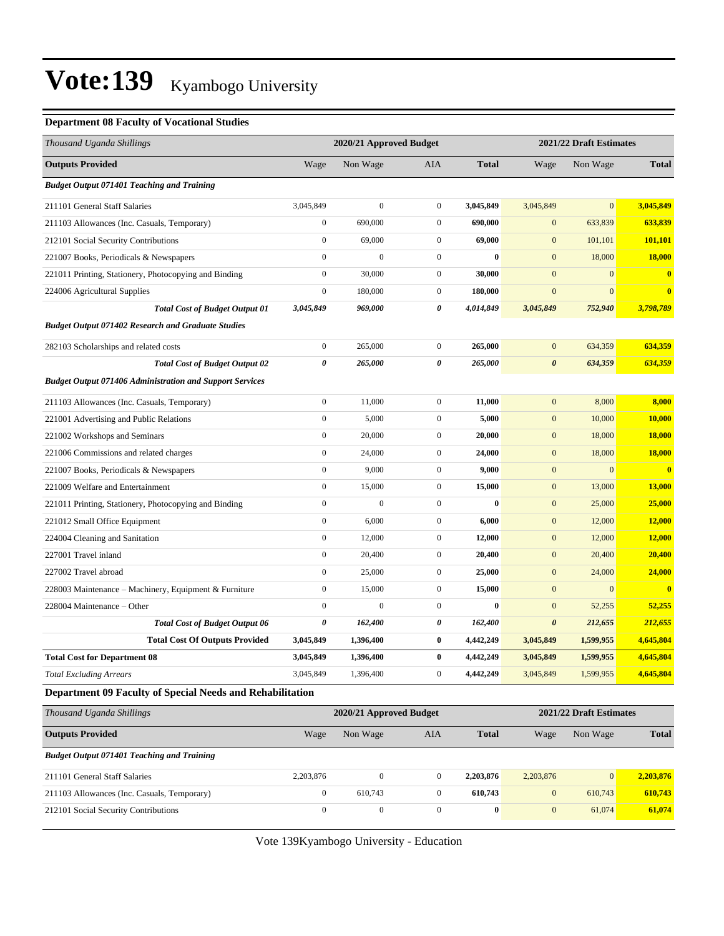#### **Department 08 Faculty of Vocational Studies**

| Thousand Uganda Shillings                                       |                  | 2020/21 Approved Budget |                  |              |                       | 2021/22 Draft Estimates |               |  |
|-----------------------------------------------------------------|------------------|-------------------------|------------------|--------------|-----------------------|-------------------------|---------------|--|
| <b>Outputs Provided</b>                                         | Wage             | Non Wage                | AIA              | <b>Total</b> | Wage                  | Non Wage                | <b>Total</b>  |  |
| <b>Budget Output 071401 Teaching and Training</b>               |                  |                         |                  |              |                       |                         |               |  |
| 211101 General Staff Salaries                                   | 3,045,849        | $\boldsymbol{0}$        | $\mathbf{0}$     | 3,045,849    | 3,045,849             | $\overline{0}$          | 3,045,849     |  |
| 211103 Allowances (Inc. Casuals, Temporary)                     | $\boldsymbol{0}$ | 690,000                 | $\overline{0}$   | 690,000      | $\mathbf{0}$          | 633,839                 | 633,839       |  |
| 212101 Social Security Contributions                            | $\boldsymbol{0}$ | 69,000                  | $\mathbf{0}$     | 69,000       | $\mathbf{0}$          | 101,101                 | 101,101       |  |
| 221007 Books, Periodicals & Newspapers                          | $\boldsymbol{0}$ | $\boldsymbol{0}$        | $\mathbf{0}$     | $\bf{0}$     | $\mathbf{0}$          | 18,000                  | 18,000        |  |
| 221011 Printing, Stationery, Photocopying and Binding           | $\boldsymbol{0}$ | 30,000                  | $\mathbf{0}$     | 30,000       | $\mathbf{0}$          | $\mathbf{0}$            | $\bf{0}$      |  |
| 224006 Agricultural Supplies                                    | $\boldsymbol{0}$ | 180,000                 | $\mathbf{0}$     | 180,000      | $\boldsymbol{0}$      | $\mathbf{0}$            | $\bf{0}$      |  |
| <b>Total Cost of Budget Output 01</b>                           | 3,045,849        | 969,000                 | 0                | 4,014,849    | 3,045,849             | 752,940                 | 3,798,789     |  |
| <b>Budget Output 071402 Research and Graduate Studies</b>       |                  |                         |                  |              |                       |                         |               |  |
| 282103 Scholarships and related costs                           | $\boldsymbol{0}$ | 265,000                 | $\overline{0}$   | 265,000      | $\boldsymbol{0}$      | 634,359                 | 634,359       |  |
| <b>Total Cost of Budget Output 02</b>                           | 0                | 265,000                 | 0                | 265,000      | $\boldsymbol{\theta}$ | 634,359                 | 634,359       |  |
| <b>Budget Output 071406 Administration and Support Services</b> |                  |                         |                  |              |                       |                         |               |  |
| 211103 Allowances (Inc. Casuals, Temporary)                     | $\boldsymbol{0}$ | 11,000                  | $\boldsymbol{0}$ | 11,000       | $\boldsymbol{0}$      | 8,000                   | 8,000         |  |
| 221001 Advertising and Public Relations                         | $\boldsymbol{0}$ | 5,000                   | $\mathbf{0}$     | 5,000        | $\mathbf{0}$          | 10,000                  | 10,000        |  |
| 221002 Workshops and Seminars                                   | $\boldsymbol{0}$ | 20,000                  | $\mathbf{0}$     | 20,000       | $\mathbf{0}$          | 18,000                  | 18,000        |  |
| 221006 Commissions and related charges                          | $\boldsymbol{0}$ | 24,000                  | $\boldsymbol{0}$ | 24,000       | $\mathbf{0}$          | 18,000                  | <b>18,000</b> |  |
| 221007 Books, Periodicals & Newspapers                          | $\boldsymbol{0}$ | 9,000                   | $\mathbf{0}$     | 9,000        | $\mathbf{0}$          | $\boldsymbol{0}$        | $\bf{0}$      |  |
| 221009 Welfare and Entertainment                                | $\boldsymbol{0}$ | 15,000                  | $\boldsymbol{0}$ | 15,000       | $\mathbf{0}$          | 13,000                  | 13,000        |  |
| 221011 Printing, Stationery, Photocopying and Binding           | $\boldsymbol{0}$ | $\mathbf{0}$            | $\mathbf{0}$     | $\bf{0}$     | $\mathbf{0}$          | 25,000                  | 25,000        |  |
| 221012 Small Office Equipment                                   | $\boldsymbol{0}$ | 6,000                   | $\mathbf{0}$     | 6,000        | $\mathbf{0}$          | 12,000                  | 12,000        |  |
| 224004 Cleaning and Sanitation                                  | $\boldsymbol{0}$ | 12,000                  | $\mathbf{0}$     | 12,000       | $\mathbf{0}$          | 12,000                  | 12,000        |  |
| 227001 Travel inland                                            | $\boldsymbol{0}$ | 20,400                  | $\boldsymbol{0}$ | 20,400       | $\mathbf{0}$          | 20,400                  | 20,400        |  |
| 227002 Travel abroad                                            | $\boldsymbol{0}$ | 25,000                  | $\mathbf{0}$     | 25,000       | $\mathbf{0}$          | 24,000                  | 24,000        |  |
| 228003 Maintenance – Machinery, Equipment & Furniture           | $\boldsymbol{0}$ | 15,000                  | $\mathbf{0}$     | 15,000       | $\mathbf{0}$          | $\mathbf{0}$            |               |  |
| 228004 Maintenance – Other                                      | $\boldsymbol{0}$ | $\mathbf{0}$            | $\mathbf{0}$     | $\mathbf{0}$ | $\mathbf{0}$          | 52,255                  | 52,255        |  |
| <b>Total Cost of Budget Output 06</b>                           | 0                | 162,400                 | 0                | 162,400      | $\pmb{\theta}$        | 212,655                 | 212,655       |  |
| <b>Total Cost Of Outputs Provided</b>                           | 3,045,849        | 1,396,400               | 0                | 4,442,249    | 3,045,849             | 1,599,955               | 4,645,804     |  |
| <b>Total Cost for Department 08</b>                             | 3,045,849        | 1,396,400               | 0                | 4,442,249    | 3,045,849             | 1,599,955               | 4,645,804     |  |
| <b>Total Excluding Arrears</b>                                  | 3,045,849        | 1,396,400               | $\mathbf{0}$     | 4,442,249    | 3,045,849             | 1,599,955               | 4,645,804     |  |
| Department 09 Faculty of Special Needs and Rehabilitation       |                  |                         |                  |              |                       |                         |               |  |
| Thousand Uganda Shillings                                       |                  | 2020/21 Approved Budget |                  |              |                       | 2021/22 Draft Estimates |               |  |
| <b>Outputs Provided</b>                                         | Wage             | Non Wage                | AIA              | <b>Total</b> | Wage                  | Non Wage                | <b>Total</b>  |  |
| <b>Budget Output 071401 Teaching and Training</b>               |                  |                         |                  |              |                       |                         |               |  |
| 211101 General Staff Salaries                                   | 2,203,876        | $\overline{0}$          | $\mathbf{0}$     | 2,203,876    | 2,203,876             | $\boldsymbol{0}$        | 2,203,876     |  |
| 211103 Allowances (Inc. Casuals, Temporary)                     | $\boldsymbol{0}$ | 610,743                 | $\boldsymbol{0}$ | 610,743      | $\boldsymbol{0}$      | 610,743                 | 610,743       |  |

Vote 139Kyambogo University - Education

212101 Social Security Contributions 0 0 0 **0** 0 61,074 **61,074**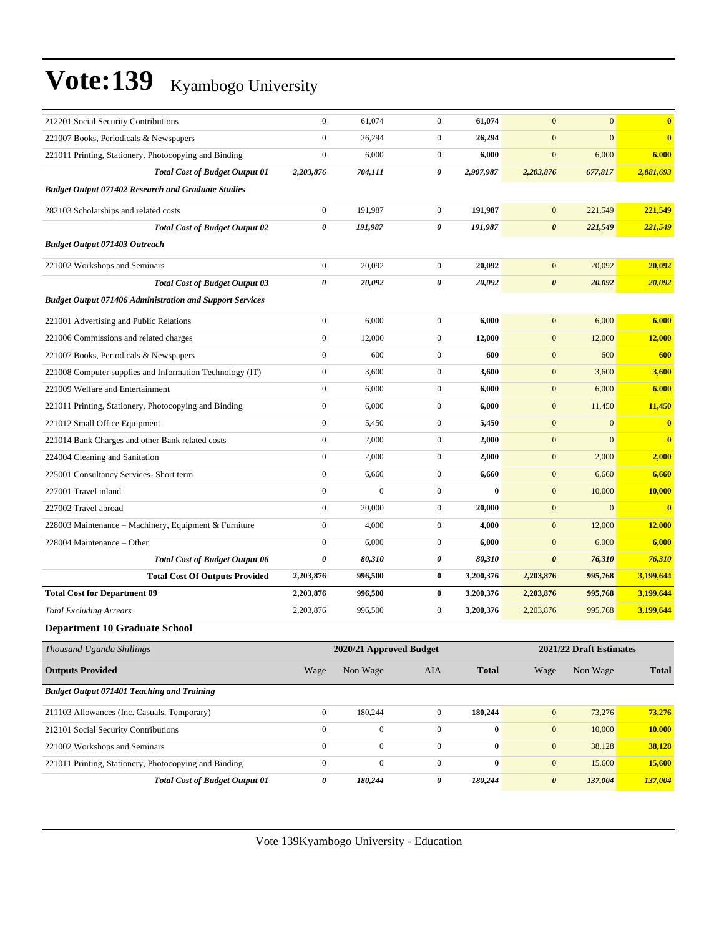| 212201 Social Security Contributions                            | $\boldsymbol{0}$      | 61,074                  | $\mathbf{0}$     | 61,074       | $\mathbf{0}$          | $\mathbf{0}$            | $\bf{0}$                |
|-----------------------------------------------------------------|-----------------------|-------------------------|------------------|--------------|-----------------------|-------------------------|-------------------------|
| 221007 Books, Periodicals & Newspapers                          | $\boldsymbol{0}$      | 26,294                  | $\mathbf{0}$     | 26,294       | $\mathbf{0}$          | $\mathbf{0}$            | $\overline{\mathbf{0}}$ |
| 221011 Printing, Stationery, Photocopying and Binding           | $\boldsymbol{0}$      | 6,000                   | $\overline{0}$   | 6,000        | $\mathbf{0}$          | 6,000                   | 6,000                   |
| <b>Total Cost of Budget Output 01</b>                           | 2,203,876             | 704,111                 | 0                | 2,907,987    | 2,203,876             | 677,817                 | 2,881,693               |
| <b>Budget Output 071402 Research and Graduate Studies</b>       |                       |                         |                  |              |                       |                         |                         |
| 282103 Scholarships and related costs                           | $\boldsymbol{0}$      | 191,987                 | $\mathbf{0}$     | 191,987      | $\mathbf{0}$          | 221,549                 | 221,549                 |
| <b>Total Cost of Budget Output 02</b>                           | $\boldsymbol{\theta}$ | 191,987                 | 0                | 191,987      | $\boldsymbol{\theta}$ | 221,549                 | 221,549                 |
| <b>Budget Output 071403 Outreach</b>                            |                       |                         |                  |              |                       |                         |                         |
| 221002 Workshops and Seminars                                   | $\boldsymbol{0}$      | 20,092                  | $\mathbf{0}$     | 20,092       | $\mathbf{0}$          | 20,092                  | 20,092                  |
| <b>Total Cost of Budget Output 03</b>                           | $\pmb{\theta}$        | 20,092                  | 0                | 20,092       | $\boldsymbol{\theta}$ | 20,092                  | 20,092                  |
| <b>Budget Output 071406 Administration and Support Services</b> |                       |                         |                  |              |                       |                         |                         |
| 221001 Advertising and Public Relations                         | $\boldsymbol{0}$      | 6,000                   | $\boldsymbol{0}$ | 6,000        | $\mathbf{0}$          | 6,000                   | 6,000                   |
| 221006 Commissions and related charges                          | $\boldsymbol{0}$      | 12,000                  | $\mathbf{0}$     | 12,000       | $\mathbf{0}$          | 12,000                  | 12,000                  |
| 221007 Books, Periodicals & Newspapers                          | $\mathbf{0}$          | 600                     | $\mathbf{0}$     | 600          | $\mathbf{0}$          | 600                     | 600                     |
| 221008 Computer supplies and Information Technology (IT)        | $\boldsymbol{0}$      | 3,600                   | $\mathbf{0}$     | 3,600        | $\mathbf{0}$          | 3,600                   | 3,600                   |
| 221009 Welfare and Entertainment                                | $\boldsymbol{0}$      | 6,000                   | $\mathbf{0}$     | 6,000        | $\mathbf{0}$          | 6,000                   | 6,000                   |
| 221011 Printing, Stationery, Photocopying and Binding           | $\boldsymbol{0}$      | 6,000                   | $\boldsymbol{0}$ | 6,000        | $\mathbf{0}$          | 11,450                  | 11,450                  |
| 221012 Small Office Equipment                                   | $\boldsymbol{0}$      | 5,450                   | $\mathbf{0}$     | 5,450        | $\mathbf{0}$          | $\mathbf{0}$            | $\bf{0}$                |
| 221014 Bank Charges and other Bank related costs                | $\boldsymbol{0}$      | 2,000                   | $\mathbf{0}$     | 2,000        | $\mathbf{0}$          | $\mathbf{0}$            | $\bf{0}$                |
| 224004 Cleaning and Sanitation                                  | $\boldsymbol{0}$      | 2,000                   | $\mathbf{0}$     | 2,000        | $\mathbf{0}$          | 2,000                   | 2,000                   |
| 225001 Consultancy Services- Short term                         | $\boldsymbol{0}$      | 6,660                   | $\mathbf{0}$     | 6,660        | $\mathbf{0}$          | 6,660                   | 6,660                   |
| 227001 Travel inland                                            | $\boldsymbol{0}$      | $\boldsymbol{0}$        | $\overline{0}$   | $\bf{0}$     | $\mathbf{0}$          | 10,000                  | 10,000                  |
| 227002 Travel abroad                                            | $\boldsymbol{0}$      | 20,000                  | $\mathbf{0}$     | 20,000       | $\mathbf{0}$          | $\mathbf{0}$            | $\overline{\mathbf{0}}$ |
| 228003 Maintenance - Machinery, Equipment & Furniture           | $\mathbf{0}$          | 4,000                   | $\mathbf{0}$     | 4,000        | $\mathbf{0}$          | 12,000                  | <b>12,000</b>           |
| 228004 Maintenance - Other                                      | $\boldsymbol{0}$      | 6,000                   | $\mathbf{0}$     | 6,000        | $\mathbf{0}$          | 6,000                   | 6,000                   |
| <b>Total Cost of Budget Output 06</b>                           | $\boldsymbol{\theta}$ | 80,310                  | 0                | 80,310       | $\boldsymbol{\theta}$ | 76,310                  | 76,310                  |
| <b>Total Cost Of Outputs Provided</b>                           | 2,203,876             | 996,500                 | $\bf{0}$         | 3,200,376    | 2,203,876             | 995,768                 | 3,199,644               |
| <b>Total Cost for Department 09</b>                             | 2,203,876             | 996,500                 | $\bf{0}$         | 3,200,376    | 2,203,876             | 995,768                 | 3,199,644               |
| <b>Total Excluding Arrears</b>                                  | 2,203,876             | 996,500                 | $\mathbf{0}$     | 3,200,376    | 2,203,876             | 995,768                 | 3,199,644               |
| <b>Department 10 Graduate School</b>                            |                       |                         |                  |              |                       |                         |                         |
| Thousand Uganda Shillings                                       |                       | 2020/21 Approved Budget |                  |              |                       | 2021/22 Draft Estimates |                         |
| <b>Outputs Provided</b>                                         | Wage                  | Non Wage                | AIA              | <b>Total</b> | Wage                  | Non Wage                | <b>Total</b>            |
| <b>Budget Output 071401 Teaching and Training</b>               |                       |                         |                  |              |                       |                         |                         |
| 211103 Allowances (Inc. Casuals, Temporary)                     | $\boldsymbol{0}$      | 180,244                 | $\boldsymbol{0}$ | 180,244      | $\boldsymbol{0}$      | 73,276                  | 73,276                  |
| 212101 Social Security Contributions                            | $\boldsymbol{0}$      | $\boldsymbol{0}$        | $\boldsymbol{0}$ | $\bf{0}$     | $\boldsymbol{0}$      | 10,000                  | <b>10,000</b>           |
| 221002 Workshops and Seminars                                   | $\boldsymbol{0}$      | $\boldsymbol{0}$        | $\boldsymbol{0}$ | $\bf{0}$     | $\boldsymbol{0}$      | 38,128                  | 38,128                  |
| 221011 Printing, Stationery, Photocopying and Binding           | $\boldsymbol{0}$      | $\boldsymbol{0}$        | $\boldsymbol{0}$ | $\bf{0}$     | $\boldsymbol{0}$      | 15,600                  | 15,600                  |
| <b>Total Cost of Budget Output 01</b>                           | 0                     | 180,244                 | 0                | 180,244      | $\boldsymbol{\theta}$ | 137,004                 | 137,004                 |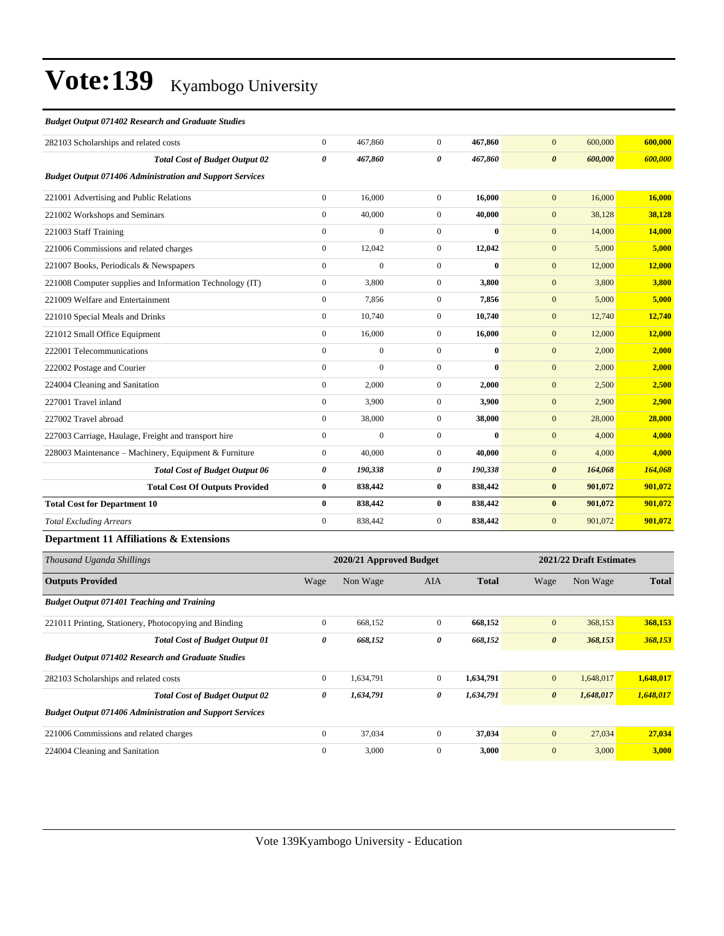#### *Budget Output 071402 Research and Graduate Studies*

| 282103 Scholarships and related costs                           | $\overline{0}$        | 467,860                 | $\overline{0}$ | 467,860      | $\overline{0}$        | 600,000                 | 600,000 |
|-----------------------------------------------------------------|-----------------------|-------------------------|----------------|--------------|-----------------------|-------------------------|---------|
| <b>Total Cost of Budget Output 02</b>                           | $\boldsymbol{\theta}$ | 467,860                 | $\theta$       | 467,860      | $\boldsymbol{\theta}$ | 600,000                 | 600,000 |
| <b>Budget Output 071406 Administration and Support Services</b> |                       |                         |                |              |                       |                         |         |
| 221001 Advertising and Public Relations                         | $\overline{0}$        | 16,000                  | $\mathbf{0}$   | 16.000       | $\overline{0}$        | 16,000                  | 16,000  |
| 221002 Workshops and Seminars                                   | $\overline{0}$        | 40,000                  | $\mathbf{0}$   | 40,000       | $\mathbf{0}$          | 38,128                  | 38,128  |
| 221003 Staff Training                                           | $\mathbf{0}$          | $\mathbf{0}$            | $\overline{0}$ | $\bf{0}$     | $\overline{0}$        | 14,000                  | 14,000  |
| 221006 Commissions and related charges                          | $\boldsymbol{0}$      | 12,042                  | $\mathbf{0}$   | 12,042       | $\mathbf{0}$          | 5,000                   | 5,000   |
| 221007 Books, Periodicals & Newspapers                          | $\overline{0}$        | $\mathbf{0}$            | $\overline{0}$ | $\bf{0}$     | $\mathbf{0}$          | 12,000                  | 12,000  |
| 221008 Computer supplies and Information Technology (IT)        | $\overline{0}$        | 3,800                   | $\mathbf{0}$   | 3,800        | $\mathbf{0}$          | 3,800                   | 3,800   |
| 221009 Welfare and Entertainment                                | $\overline{0}$        | 7,856                   | $\overline{0}$ | 7,856        | $\mathbf{0}$          | 5,000                   | 5,000   |
| 221010 Special Meals and Drinks                                 | $\mathbf{0}$          | 10,740                  | $\overline{0}$ | 10,740       | $\mathbf{0}$          | 12,740                  | 12,740  |
| 221012 Small Office Equipment                                   | $\mathbf{0}$          | 16,000                  | $\mathbf{0}$   | 16,000       | $\mathbf{0}$          | 12,000                  | 12,000  |
| 222001 Telecommunications                                       | $\mathbf{0}$          | $\mathbf{0}$            | $\mathbf{0}$   | $\mathbf{0}$ | $\mathbf{0}$          | 2,000                   | 2,000   |
| 222002 Postage and Courier                                      | $\mathbf{0}$          | $\mathbf{0}$            | $\mathbf{0}$   | $\bf{0}$     | $\mathbf{0}$          | 2,000                   | 2,000   |
| 224004 Cleaning and Sanitation                                  | $\overline{0}$        | 2,000                   | $\mathbf{0}$   | 2,000        | $\overline{0}$        | 2,500                   | 2,500   |
| 227001 Travel inland                                            | $\mathbf{0}$          | 3,900                   | $\mathbf{0}$   | 3,900        | $\mathbf{0}$          | 2,900                   | 2,900   |
| 227002 Travel abroad                                            | $\overline{0}$        | 38,000                  | $\mathbf{0}$   | 38,000       | $\mathbf{0}$          | 28,000                  | 28,000  |
| 227003 Carriage, Haulage, Freight and transport hire            | $\mathbf{0}$          | $\overline{0}$          | $\mathbf{0}$   | $\bf{0}$     | $\mathbf{0}$          | 4,000                   | 4,000   |
| 228003 Maintenance - Machinery, Equipment & Furniture           | $\overline{0}$        | 40,000                  | $\mathbf{0}$   | 40.000       | $\overline{0}$        | 4,000                   | 4,000   |
| <b>Total Cost of Budget Output 06</b>                           | 0                     | 190,338                 | 0              | 190,338      | $\boldsymbol{\theta}$ | 164,068                 | 164,068 |
| <b>Total Cost Of Outputs Provided</b>                           | $\bf{0}$              | 838,442                 | $\bf{0}$       | 838,442      | $\bf{0}$              | 901,072                 | 901,072 |
| <b>Total Cost for Department 10</b>                             | $\mathbf{0}$          | 838,442                 | $\bf{0}$       | 838,442      | $\bf{0}$              | 901,072                 | 901,072 |
| <b>Total Excluding Arrears</b>                                  | $\mathbf{0}$          | 838,442                 | $\mathbf{0}$   | 838,442      | $\overline{0}$        | 901,072                 | 901,072 |
| Department 11 Affiliations & Extensions                         |                       |                         |                |              |                       |                         |         |
| Thousand Uganda Shillings                                       |                       | 2020/21 Approved Budget |                |              |                       | 2021/22 Draft Estimates |         |

| Thousand Uganda Shillings                                       |                  | 2020/21 Approved Budget |                |              |                       | 2021/22 Draft Estimates |              |
|-----------------------------------------------------------------|------------------|-------------------------|----------------|--------------|-----------------------|-------------------------|--------------|
| <b>Outputs Provided</b>                                         | Wage             | Non Wage                | <b>AIA</b>     | <b>Total</b> | Wage                  | Non Wage                | <b>Total</b> |
| <b>Budget Output 071401 Teaching and Training</b>               |                  |                         |                |              |                       |                         |              |
| 221011 Printing, Stationery, Photocopying and Binding           | $\mathbf{0}$     | 668,152                 | $\overline{0}$ | 668,152      | $\mathbf{0}$          | 368,153                 | 368,153      |
| <b>Total Cost of Budget Output 01</b>                           | 0                | 668,152                 | 0              | 668,152      | $\boldsymbol{\theta}$ | 368,153                 | 368,153      |
| <b>Budget Output 071402 Research and Graduate Studies</b>       |                  |                         |                |              |                       |                         |              |
| 282103 Scholarships and related costs                           | $\boldsymbol{0}$ | 1,634,791               | $\overline{0}$ | 1,634,791    | $\mathbf{0}$          | 1,648,017               | 1,648,017    |
| <b>Total Cost of Budget Output 02</b>                           | 0                | 1,634,791               | 0              | 1,634,791    | $\boldsymbol{\theta}$ | 1,648,017               | 1,648,017    |
| <b>Budget Output 071406 Administration and Support Services</b> |                  |                         |                |              |                       |                         |              |
| 221006 Commissions and related charges                          | $\mathbf{0}$     | 37,034                  | $\overline{0}$ | 37,034       | $\mathbf{0}$          | 27,034                  | 27,034       |
| 224004 Cleaning and Sanitation                                  | $\mathbf{0}$     | 3,000                   | $\Omega$       | 3,000        | $\mathbf{0}$          | 3,000                   | 3,000        |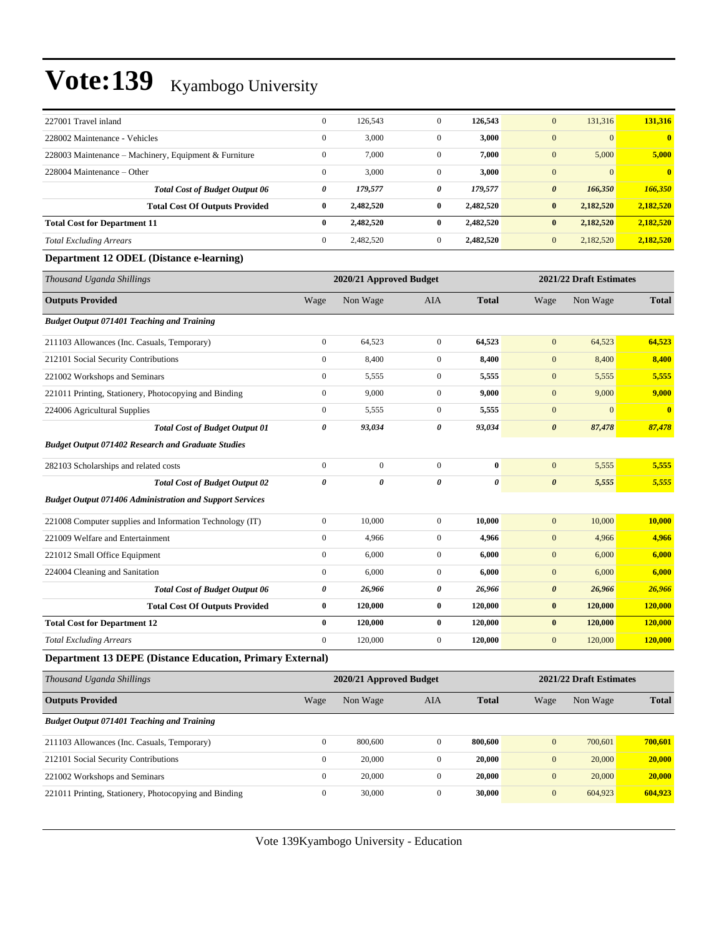| 227001 Travel inland                                            | $\boldsymbol{0}$ | 126,543                 | $\mathbf{0}$     | 126,543      | $\mathbf{0}$          | 131,316                 | 131,316                 |
|-----------------------------------------------------------------|------------------|-------------------------|------------------|--------------|-----------------------|-------------------------|-------------------------|
| 228002 Maintenance - Vehicles                                   | $\boldsymbol{0}$ | 3,000                   | $\boldsymbol{0}$ | 3,000        | $\boldsymbol{0}$      | $\mathbf{0}$            | $\bf{0}$                |
| 228003 Maintenance - Machinery, Equipment & Furniture           | $\boldsymbol{0}$ | 7,000                   | $\boldsymbol{0}$ | 7,000        | $\mathbf{0}$          | 5,000                   | 5,000                   |
| 228004 Maintenance – Other                                      | $\boldsymbol{0}$ | 3,000                   | $\boldsymbol{0}$ | 3,000        | $\boldsymbol{0}$      | $\mathbf{0}$            | $\bf{0}$                |
| <b>Total Cost of Budget Output 06</b>                           | 0                | 179,577                 | 0                | 179,577      | $\pmb{\theta}$        | 166,350                 | 166,350                 |
| <b>Total Cost Of Outputs Provided</b>                           | $\bf{0}$         | 2,482,520               | $\bf{0}$         | 2,482,520    | $\bf{0}$              | 2,182,520               | 2,182,520               |
| <b>Total Cost for Department 11</b>                             | $\bf{0}$         | 2,482,520               | $\bf{0}$         | 2,482,520    | $\bf{0}$              | 2,182,520               | 2,182,520               |
| <b>Total Excluding Arrears</b>                                  | $\boldsymbol{0}$ | 2,482,520               | $\mathbf{0}$     | 2,482,520    | $\mathbf{0}$          | 2,182,520               | 2,182,520               |
| Department 12 ODEL (Distance e-learning)                        |                  |                         |                  |              |                       |                         |                         |
| Thousand Uganda Shillings                                       |                  | 2020/21 Approved Budget |                  |              |                       | 2021/22 Draft Estimates |                         |
| <b>Outputs Provided</b>                                         | Wage             | Non Wage                | <b>AIA</b>       | <b>Total</b> | Wage                  | Non Wage                | <b>Total</b>            |
| <b>Budget Output 071401 Teaching and Training</b>               |                  |                         |                  |              |                       |                         |                         |
| 211103 Allowances (Inc. Casuals, Temporary)                     | $\boldsymbol{0}$ | 64,523                  | $\boldsymbol{0}$ | 64,523       | $\boldsymbol{0}$      | 64,523                  | 64,523                  |
| 212101 Social Security Contributions                            | $\boldsymbol{0}$ | 8,400                   | $\mathbf{0}$     | 8,400        | $\boldsymbol{0}$      | 8,400                   | 8,400                   |
| 221002 Workshops and Seminars                                   | $\boldsymbol{0}$ | 5,555                   | $\mathbf{0}$     | 5,555        | $\mathbf{0}$          | 5,555                   | 5,555                   |
| 221011 Printing, Stationery, Photocopying and Binding           | $\boldsymbol{0}$ | 9,000                   | $\boldsymbol{0}$ | 9,000        | $\mathbf{0}$          | 9,000                   | 9,000                   |
| 224006 Agricultural Supplies                                    | $\boldsymbol{0}$ | 5,555                   | $\boldsymbol{0}$ | 5,555        | $\mathbf{0}$          | $\mathbf{0}$            | $\overline{\mathbf{0}}$ |
| <b>Total Cost of Budget Output 01</b>                           | 0                | 93,034                  | 0                | 93,034       | $\boldsymbol{\theta}$ | 87,478                  | 87,478                  |
| <b>Budget Output 071402 Research and Graduate Studies</b>       |                  |                         |                  |              |                       |                         |                         |
| 282103 Scholarships and related costs                           | $\boldsymbol{0}$ | $\boldsymbol{0}$        | $\mathbf{0}$     | $\bf{0}$     | $\mathbf{0}$          | 5,555                   | 5,555                   |
| <b>Total Cost of Budget Output 02</b>                           | 0                | 0                       | 0                | 0            | $\boldsymbol{\theta}$ | 5,555                   | 5,555                   |
| <b>Budget Output 071406 Administration and Support Services</b> |                  |                         |                  |              |                       |                         |                         |
| 221008 Computer supplies and Information Technology (IT)        | $\boldsymbol{0}$ | 10,000                  | $\boldsymbol{0}$ | 10,000       | $\boldsymbol{0}$      | 10,000                  | 10,000                  |
| 221009 Welfare and Entertainment                                | $\boldsymbol{0}$ | 4,966                   | $\boldsymbol{0}$ | 4,966        | $\mathbf{0}$          | 4,966                   | 4,966                   |
| 221012 Small Office Equipment                                   | $\boldsymbol{0}$ | 6,000                   | $\boldsymbol{0}$ | 6,000        | $\mathbf{0}$          | 6,000                   | 6,000                   |
| 224004 Cleaning and Sanitation                                  | $\boldsymbol{0}$ | 6,000                   | $\mathbf{0}$     | 6,000        | $\boldsymbol{0}$      | 6,000                   | 6,000                   |
| <b>Total Cost of Budget Output 06</b>                           | 0                | 26,966                  | 0                | 26,966       | 0                     | 26,966                  | 26,966                  |
| <b>Total Cost Of Outputs Provided</b>                           | $\bf{0}$         | 120,000                 | $\bf{0}$         | 120,000      | $\bf{0}$              | 120,000                 | <b>120,000</b>          |
| <b>Total Cost for Department 12</b>                             | $\bf{0}$         | 120,000                 | $\bf{0}$         | 120,000      | $\bf{0}$              | 120,000                 | 120,000                 |
| <b>Total Excluding Arrears</b>                                  | $\Omega$         | 120,000                 | 0                | 120,000      | $\mathbf{0}$          | 120,000                 | <b>120,000</b>          |
| Department 13 DEPE (Distance Education, Primary External)       |                  |                         |                  |              |                       |                         |                         |
| Thousand Uganda Shillings                                       |                  | 2020/21 Approved Budget |                  |              |                       | 2021/22 Draft Estimates |                         |
| <b>Outputs Provided</b>                                         | Wage             | Non Wage                | AIA              | <b>Total</b> | Wage                  | Non Wage                | <b>Total</b>            |
| <b>Budget Output 071401 Teaching and Training</b>               |                  |                         |                  |              |                       |                         |                         |
| 211103 Allowances (Inc. Casuals, Temporary)                     | $\boldsymbol{0}$ | 800,600                 | $\boldsymbol{0}$ | 800,600      | $\boldsymbol{0}$      | 700,601                 | 700,601                 |
| 212101 Social Security Contributions                            | $\boldsymbol{0}$ | 20,000                  | $\boldsymbol{0}$ | 20,000       | $\boldsymbol{0}$      | 20,000                  | 20,000                  |
| 221002 Workshops and Seminars                                   | $\boldsymbol{0}$ | 20,000                  | $\boldsymbol{0}$ | 20,000       | $\boldsymbol{0}$      | 20,000                  | <b>20,000</b>           |
| 221011 Printing, Stationery, Photocopying and Binding           | $\boldsymbol{0}$ | 30,000                  | $\boldsymbol{0}$ | 30,000       | $\boldsymbol{0}$      | 604,923                 | 604,923                 |